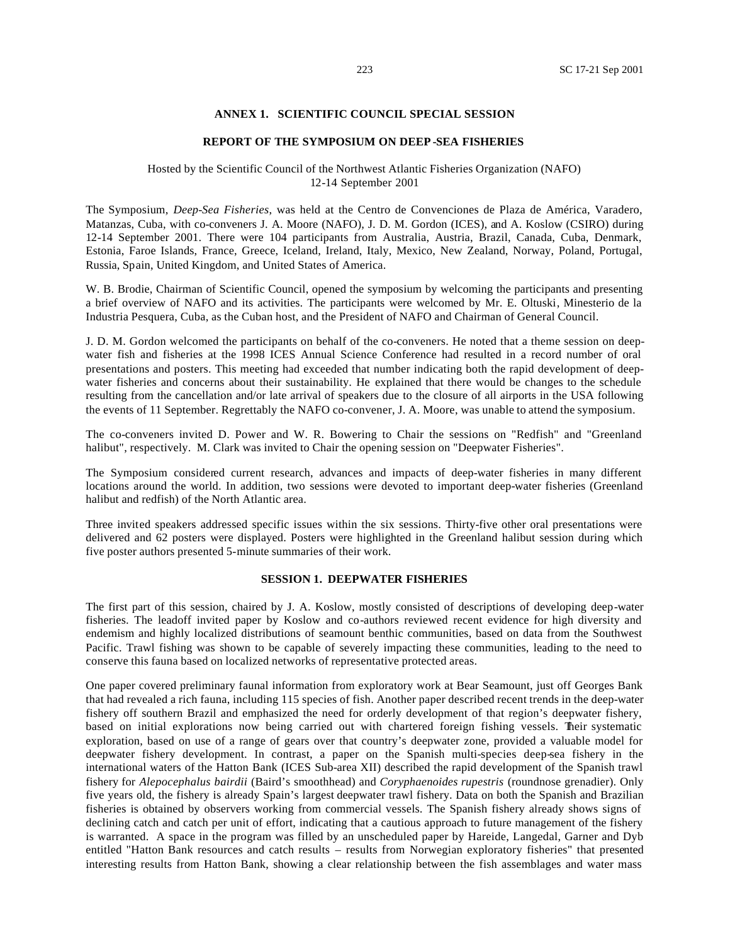#### **ANNEX 1. SCIENTIFIC COUNCIL SPECIAL SESSION**

#### **REPORT OF THE SYMPOSIUM ON DEEP -SEA FISHERIES**

#### Hosted by the Scientific Council of the Northwest Atlantic Fisheries Organization (NAFO) 12-14 September 2001

The Symposium, *Deep-Sea Fisheries*, was held at the Centro de Convenciones de Plaza de América, Varadero, Matanzas, Cuba, with co-conveners J. A. Moore (NAFO), J. D. M. Gordon (ICES), and A. Koslow (CSIRO) during 12-14 September 2001. There were 104 participants from Australia, Austria, Brazil, Canada, Cuba, Denmark, Estonia, Faroe Islands, France, Greece, Iceland, Ireland, Italy, Mexico, New Zealand, Norway, Poland, Portugal, Russia, Spain, United Kingdom, and United States of America.

W. B. Brodie, Chairman of Scientific Council, opened the symposium by welcoming the participants and presenting a brief overview of NAFO and its activities. The participants were welcomed by Mr. E. Oltuski, Minesterio de la Industria Pesquera, Cuba, as the Cuban host, and the President of NAFO and Chairman of General Council.

J. D. M. Gordon welcomed the participants on behalf of the co-conveners. He noted that a theme session on deepwater fish and fisheries at the 1998 ICES Annual Science Conference had resulted in a record number of oral presentations and posters. This meeting had exceeded that number indicating both the rapid development of deepwater fisheries and concerns about their sustainability. He explained that there would be changes to the schedule resulting from the cancellation and/or late arrival of speakers due to the closure of all airports in the USA following the events of 11 September. Regrettably the NAFO co-convener, J. A. Moore, was unable to attend the symposium.

The co-conveners invited D. Power and W. R. Bowering to Chair the sessions on "Redfish" and "Greenland halibut", respectively. M. Clark was invited to Chair the opening session on "Deepwater Fisheries".

The Symposium considered current research, advances and impacts of deep-water fisheries in many different locations around the world. In addition, two sessions were devoted to important deep-water fisheries (Greenland halibut and redfish) of the North Atlantic area.

Three invited speakers addressed specific issues within the six sessions. Thirty-five other oral presentations were delivered and 62 posters were displayed. Posters were highlighted in the Greenland halibut session during which five poster authors presented 5-minute summaries of their work.

#### **SESSION 1. DEEPWATER FISHERIES**

The first part of this session, chaired by J. A. Koslow, mostly consisted of descriptions of developing deep-water fisheries. The leadoff invited paper by Koslow and co-authors reviewed recent evidence for high diversity and endemism and highly localized distributions of seamount benthic communities, based on data from the Southwest Pacific. Trawl fishing was shown to be capable of severely impacting these communities, leading to the need to conserve this fauna based on localized networks of representative protected areas.

One paper covered preliminary faunal information from exploratory work at Bear Seamount, just off Georges Bank that had revealed a rich fauna, including 115 species of fish. Another paper described recent trends in the deep-water fishery off southern Brazil and emphasized the need for orderly development of that region's deepwater fishery, based on initial explorations now being carried out with chartered foreign fishing vessels. Their systematic exploration, based on use of a range of gears over that country's deepwater zone, provided a valuable model for deepwater fishery development. In contrast, a paper on the Spanish multi-species deep-sea fishery in the international waters of the Hatton Bank (ICES Sub-area XII) described the rapid development of the Spanish trawl fishery for *Alepocephalus bairdii* (Baird's smoothhead) and *Coryphaenoides rupestris* (roundnose grenadier). Only five years old, the fishery is already Spain's largest deepwater trawl fishery. Data on both the Spanish and Brazilian fisheries is obtained by observers working from commercial vessels. The Spanish fishery already shows signs of declining catch and catch per unit of effort, indicating that a cautious approach to future management of the fishery is warranted. A space in the program was filled by an unscheduled paper by Hareide, Langedal, Garner and Dyb entitled "Hatton Bank resources and catch results – results from Norwegian exploratory fisheries" that presented interesting results from Hatton Bank, showing a clear relationship between the fish assemblages and water mass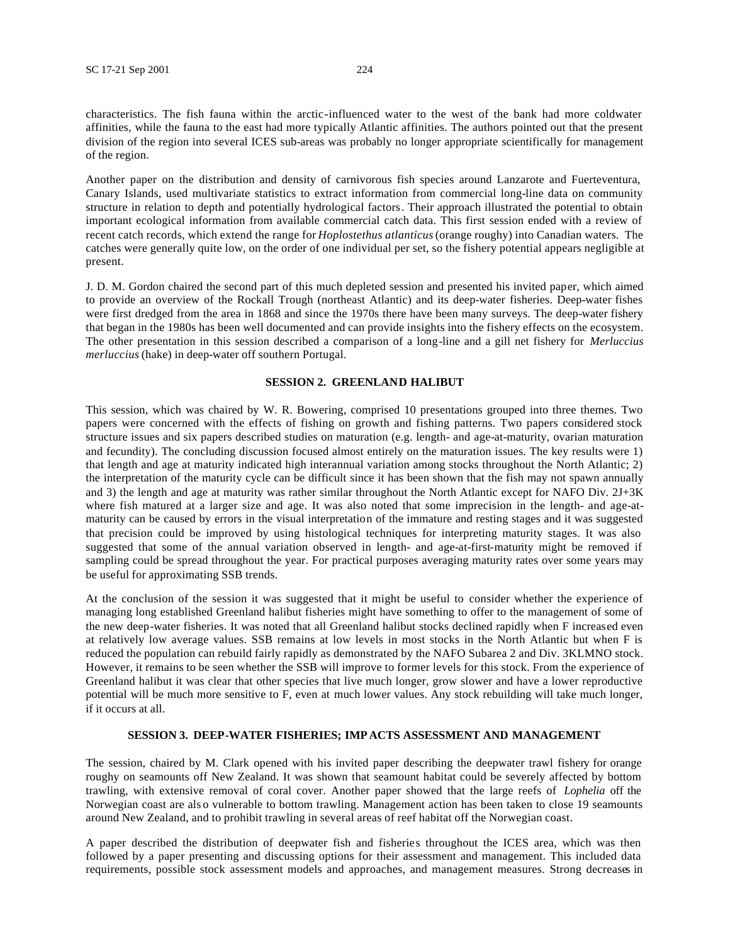characteristics. The fish fauna within the arctic-influenced water to the west of the bank had more coldwater affinities, while the fauna to the east had more typically Atlantic affinities. The authors pointed out that the present division of the region into several ICES sub-areas was probably no longer appropriate scientifically for management of the region.

Another paper on the distribution and density of carnivorous fish species around Lanzarote and Fuerteventura, Canary Islands, used multivariate statistics to extract information from commercial long-line data on community structure in relation to depth and potentially hydrological factors. Their approach illustrated the potential to obtain important ecological information from available commercial catch data. This first session ended with a review of recent catch records, which extend the range for *Hoplostethus atlanticus* (orange roughy) into Canadian waters. The catches were generally quite low, on the order of one individual per set, so the fishery potential appears negligible at present.

J. D. M. Gordon chaired the second part of this much depleted session and presented his invited paper, which aimed to provide an overview of the Rockall Trough (northeast Atlantic) and its deep-water fisheries. Deep-water fishes were first dredged from the area in 1868 and since the 1970s there have been many surveys. The deep-water fishery that began in the 1980s has been well documented and can provide insights into the fishery effects on the ecosystem. The other presentation in this session described a comparison of a long-line and a gill net fishery for *Merluccius merluccius* (hake) in deep-water off southern Portugal.

#### **SESSION 2. GREENLAND HALIBUT**

This session, which was chaired by W. R. Bowering, comprised 10 presentations grouped into three themes. Two papers were concerned with the effects of fishing on growth and fishing patterns. Two papers considered stock structure issues and six papers described studies on maturation (e.g. length- and age-at-maturity, ovarian maturation and fecundity). The concluding discussion focused almost entirely on the maturation issues. The key results were 1) that length and age at maturity indicated high interannual variation among stocks throughout the North Atlantic; 2) the interpretation of the maturity cycle can be difficult since it has been shown that the fish may not spawn annually and 3) the length and age at maturity was rather similar throughout the North Atlantic except for NAFO Div. 2J+3K where fish matured at a larger size and age. It was also noted that some imprecision in the length- and age-atmaturity can be caused by errors in the visual interpretation of the immature and resting stages and it was suggested that precision could be improved by using histological techniques for interpreting maturity stages. It was also suggested that some of the annual variation observed in length- and age-at-first-maturity might be removed if sampling could be spread throughout the year. For practical purposes averaging maturity rates over some years may be useful for approximating SSB trends.

At the conclusion of the session it was suggested that it might be useful to consider whether the experience of managing long established Greenland halibut fisheries might have something to offer to the management of some of the new deep-water fisheries. It was noted that all Greenland halibut stocks declined rapidly when F increased even at relatively low average values. SSB remains at low levels in most stocks in the North Atlantic but when F is reduced the population can rebuild fairly rapidly as demonstrated by the NAFO Subarea 2 and Div. 3KLMNO stock. However, it remains to be seen whether the SSB will improve to former levels for this stock. From the experience of Greenland halibut it was clear that other species that live much longer, grow slower and have a lower reproductive potential will be much more sensitive to F, even at much lower values. Any stock rebuilding will take much longer, if it occurs at all.

#### **SESSION 3. DEEP-WATER FISHERIES; IMP ACTS ASSESSMENT AND MANAGEMENT**

The session, chaired by M. Clark opened with his invited paper describing the deepwater trawl fishery for orange roughy on seamounts off New Zealand. It was shown that seamount habitat could be severely affected by bottom trawling, with extensive removal of coral cover. Another paper showed that the large reefs of *Lophelia* off the Norwegian coast are als o vulnerable to bottom trawling. Management action has been taken to close 19 seamounts around New Zealand, and to prohibit trawling in several areas of reef habitat off the Norwegian coast.

A paper described the distribution of deepwater fish and fisheries throughout the ICES area, which was then followed by a paper presenting and discussing options for their assessment and management. This included data requirements, possible stock assessment models and approaches, and management measures. Strong decreases in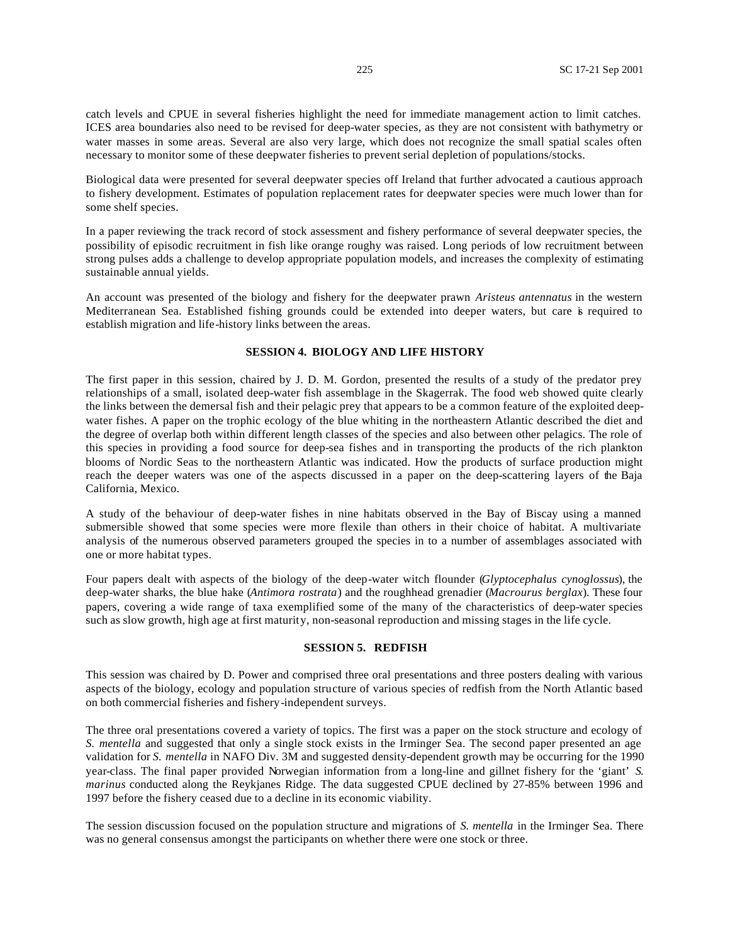catch levels and CPUE in several fisheries highlight the need for immediate management action to limit catches. ICES area boundaries also need to be revised for deep-water species, as they are not consistent with bathymetry or water masses in some areas. Several are also very large, which does not recognize the small spatial scales often necessary to monitor some of these deepwater fisheries to prevent serial depletion of populations/stocks.

Biological data were presented for several deepwater species off Ireland that further advocated a cautious approach to fishery development. Estimates of population replacement rates for deepwater species were much lower than for some shelf species.

In a paper reviewing the track record of stock assessment and fishery performance of several deepwater species, the possibility of episodic recruitment in fish like orange roughy was raised. Long periods of low recruitment between strong pulses adds a challenge to develop appropriate population models, and increases the complexity of estimating sustainable annual yields.

An account was presented of the biology and fishery for the deepwater prawn *Aristeus antennatus* in the western Mediterranean Sea. Established fishing grounds could be extended into deeper waters, but care is required to establish migration and life-history links between the areas.

#### **SESSION 4. BIOLOGY AND LIFE HISTORY**

The first paper in this session, chaired by J. D. M. Gordon, presented the results of a study of the predator prey relationships of a small, isolated deep-water fish assemblage in the Skagerrak. The food web showed quite clearly the links between the demersal fish and their pelagic prey that appears to be a common feature of the exploited deepwater fishes. A paper on the trophic ecology of the blue whiting in the northeastern Atlantic described the diet and the degree of overlap both within different length classes of the species and also between other pelagics. The role of this species in providing a food source for deep-sea fishes and in transporting the products of the rich plankton blooms of Nordic Seas to the northeastern Atlantic was indicated. How the products of surface production might reach the deeper waters was one of the aspects discussed in a paper on the deep-scattering layers of the Baja California, Mexico.

A study of the behaviour of deep-water fishes in nine habitats observed in the Bay of Biscay using a manned submersible showed that some species were more flexile than others in their choice of habitat. A multivariate analysis of the numerous observed parameters grouped the species in to a number of assemblages associated with one or more habitat types.

Four papers dealt with aspects of the biology of the deep-water witch flounder (*Glyptocephalus cynoglossus*), the deep-water sharks, the blue hake (*Antimora rostrata*) and the roughhead grenadier (*Macrourus berglax*). These four papers, covering a wide range of taxa exemplified some of the many of the characteristics of deep-water species such as slow growth, high age at first maturity, non-seasonal reproduction and missing stages in the life cycle.

#### **SESSION 5. REDFISH**

This session was chaired by D. Power and comprised three oral presentations and three posters dealing with various aspects of the biology, ecology and population structure of various species of redfish from the North Atlantic based on both commercial fisheries and fishery-independent surveys.

The three oral presentations covered a variety of topics. The first was a paper on the stock structure and ecology of *S. mentella* and suggested that only a single stock exists in the Irminger Sea. The second paper presented an age validation for *S. mentella* in NAFO Div. 3M and suggested density-dependent growth may be occurring for the 1990 year-class. The final paper provided Norwegian information from a long-line and gillnet fishery for the 'giant' *S. marinus* conducted along the Reykjanes Ridge. The data suggested CPUE declined by 27-85% between 1996 and 1997 before the fishery ceased due to a decline in its economic viability.

The session discussion focused on the population structure and migrations of *S. mentella* in the Irminger Sea. There was no general consensus amongst the participants on whether there were one stock or three.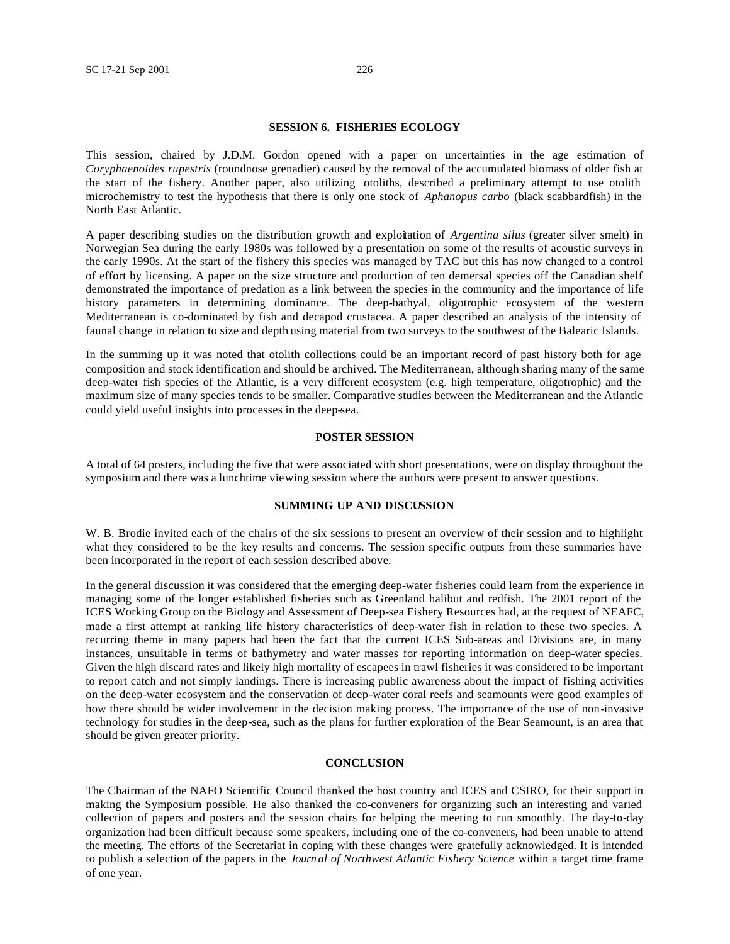#### **SESSION 6. FISHERIES ECOLOGY**

This session, chaired by J.D.M. Gordon opened with a paper on uncertainties in the age estimation of *Coryphaenoides rupestris* (roundnose grenadier) caused by the removal of the accumulated biomass of older fish at the start of the fishery. Another paper, also utilizing otoliths, described a preliminary attempt to use otolith microchemistry to test the hypothesis that there is only one stock of *Aphanopus carbo* (black scabbardfish) in the North East Atlantic.

A paper describing studies on the distribution growth and exploitation of *Argentina silus* (greater silver smelt) in Norwegian Sea during the early 1980s was followed by a presentation on some of the results of acoustic surveys in the early 1990s. At the start of the fishery this species was managed by TAC but this has now changed to a control of effort by licensing. A paper on the size structure and production of ten demersal species off the Canadian shelf demonstrated the importance of predation as a link between the species in the community and the importance of life history parameters in determining dominance. The deep-bathyal, oligotrophic ecosystem of the western Mediterranean is co-dominated by fish and decapod crustacea. A paper described an analysis of the intensity of faunal change in relation to size and depth using material from two surveys to the southwest of the Balearic Islands.

In the summing up it was noted that otolith collections could be an important record of past history both for age composition and stock identification and should be archived. The Mediterranean, although sharing many of the same deep-water fish species of the Atlantic, is a very different ecosystem (e.g. high temperature, oligotrophic) and the maximum size of many species tends to be smaller. Comparative studies between the Mediterranean and the Atlantic could yield useful insights into processes in the deep-sea.

#### **POSTER SESSION**

A total of 64 posters, including the five that were associated with short presentations, were on display throughout the symposium and there was a lunchtime viewing session where the authors were present to answer questions.

#### **SUMMING UP AND DISCUSSION**

W. B. Brodie invited each of the chairs of the six sessions to present an overview of their session and to highlight what they considered to be the key results and concerns. The session specific outputs from these summaries have been incorporated in the report of each session described above.

In the general discussion it was considered that the emerging deep-water fisheries could learn from the experience in managing some of the longer established fisheries such as Greenland halibut and redfish. The 2001 report of the ICES Working Group on the Biology and Assessment of Deep-sea Fishery Resources had, at the request of NEAFC, made a first attempt at ranking life history characteristics of deep-water fish in relation to these two species. A recurring theme in many papers had been the fact that the current ICES Sub-areas and Divisions are, in many instances, unsuitable in terms of bathymetry and water masses for reporting information on deep-water species. Given the high discard rates and likely high mortality of escapees in trawl fisheries it was considered to be important to report catch and not simply landings. There is increasing public awareness about the impact of fishing activities on the deep-water ecosystem and the conservation of deep-water coral reefs and seamounts were good examples of how there should be wider involvement in the decision making process. The importance of the use of non-invasive technology for studies in the deep-sea, such as the plans for further exploration of the Bear Seamount, is an area that should be given greater priority.

#### **CONCLUSION**

The Chairman of the NAFO Scientific Council thanked the host country and ICES and CSIRO, for their support in making the Symposium possible. He also thanked the co-conveners for organizing such an interesting and varied collection of papers and posters and the session chairs for helping the meeting to run smoothly. The day-to-day organization had been difficult because some speakers, including one of the co-conveners, had been unable to attend the meeting. The efforts of the Secretariat in coping with these changes were gratefully acknowledged. It is intended to publish a selection of the papers in the *Journ al of Northwest Atlantic Fishery Science* within a target time frame of one year.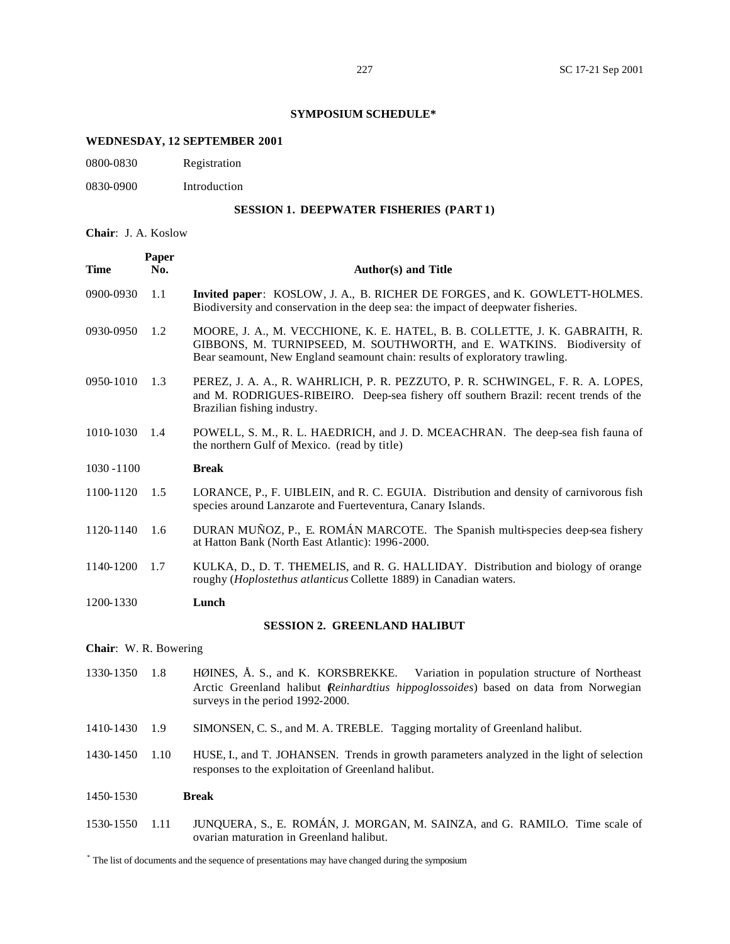## **SYMPOSIUM SCHEDULE\***

# **WEDNESDAY, 12 SEPTEMBER 2001**

0800-0830 Registration

0830-0900 Introduction

## **SESSION 1. DEEPWATER FISHERIES (PART 1)**

**Chair**: J. A. Koslow

| <b>Time</b>           | Paper<br>No. | <b>Author(s)</b> and Title                                                                                                                                                                                                           |
|-----------------------|--------------|--------------------------------------------------------------------------------------------------------------------------------------------------------------------------------------------------------------------------------------|
| 0900-0930             | 1.1          | Invited paper: KOSLOW, J. A., B. RICHER DE FORGES, and K. GOWLETT-HOLMES.<br>Biodiversity and conservation in the deep sea: the impact of deepwater fisheries.                                                                       |
| 0930-0950             | 1.2          | MOORE, J. A., M. VECCHIONE, K. E. HATEL, B. B. COLLETTE, J. K. GABRAITH, R.<br>GIBBONS, M. TURNIPSEED, M. SOUTHWORTH, and E. WATKINS. Biodiversity of<br>Bear seamount, New England seamount chain: results of exploratory trawling. |
| 0950-1010             | 1.3          | PEREZ, J. A. A., R. WAHRLICH, P. R. PEZZUTO, P. R. SCHWINGEL, F. R. A. LOPES,<br>and M. RODRIGUES-RIBEIRO. Deep-sea fishery off southern Brazil: recent trends of the<br>Brazilian fishing industry.                                 |
| 1010-1030             | 1.4          | POWELL, S. M., R. L. HAEDRICH, and J. D. MCEACHRAN. The deep-sea fish fauna of<br>the northern Gulf of Mexico. (read by title)                                                                                                       |
| 1030 - 1100           |              | <b>Break</b>                                                                                                                                                                                                                         |
| 1100-1120             | 1.5          | LORANCE, P., F. UIBLEIN, and R. C. EGUIA. Distribution and density of carnivorous fish<br>species around Lanzarote and Fuerteventura, Canary Islands.                                                                                |
| 1120-1140             | 1.6          | DURAN MUÑOZ, P., E. ROMÁN MARCOTE. The Spanish multi-species deep-sea fishery<br>at Hatton Bank (North East Atlantic): 1996-2000.                                                                                                    |
| 1140-1200             | 1.7          | KULKA, D., D. T. THEMELIS, and R. G. HALLIDAY. Distribution and biology of orange<br>roughy (Hoplostethus atlanticus Collette 1889) in Canadian waters.                                                                              |
| 1200-1330             |              | Lunch                                                                                                                                                                                                                                |
|                       |              | <b>SESSION 2. GREENLAND HALIBUT</b>                                                                                                                                                                                                  |
| Chair: W. R. Bowering |              |                                                                                                                                                                                                                                      |
| 1330-1350             | 1.8          | HØINES, Å. S., and K. KORSBREKKE.<br>Variation in population structure of Northeast<br>Arctic Greenland halibut <i>Reinhardtius hippoglossoides</i> ) based on data from Norwegian<br>surveys in the period 1992-2000.               |
| 1410-1430             | 1.9          | SIMONSEN, C. S., and M. A. TREBLE. Tagging mortality of Greenland halibut.                                                                                                                                                           |
| 1430-1450             | 1.10         | HUSE, I., and T. JOHANSEN. Trends in growth parameters analyzed in the light of selection<br>responses to the exploitation of Greenland halibut.                                                                                     |
| 1450-1530             |              | <b>Break</b>                                                                                                                                                                                                                         |
| 1530-1550             | 1.11         | JUNQUERA, S., E. ROMÁN, J. MORGAN, M. SAINZA, and G. RAMILO. Time scale of<br>ovarian maturation in Greenland halibut.                                                                                                               |

\* The list of documents and the sequence of presentations may have changed during the symposium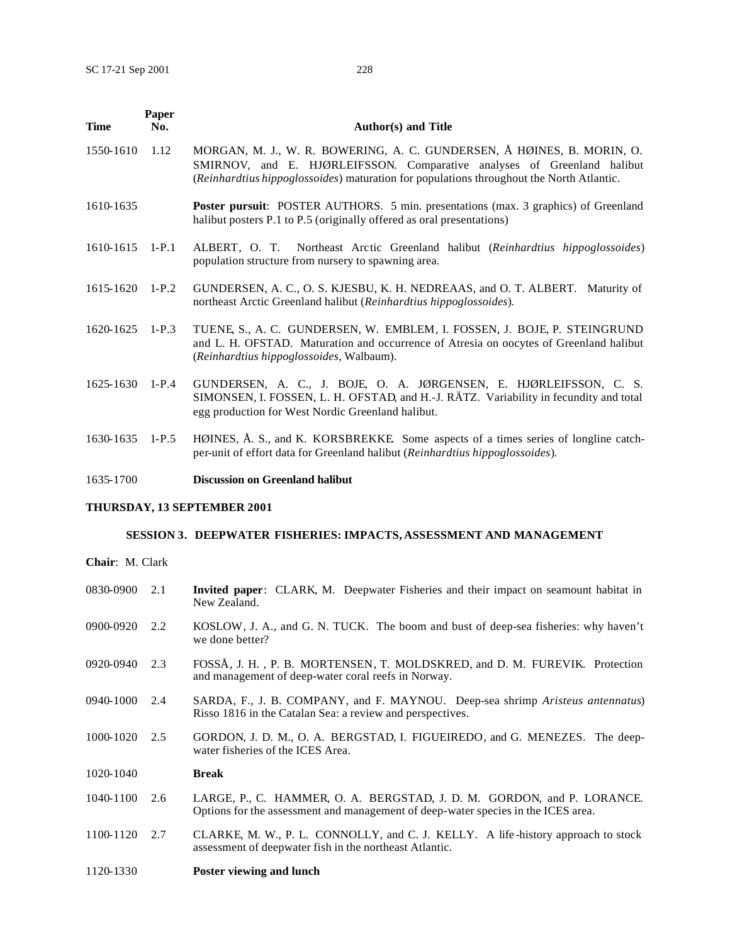| <b>Time</b> | Paper<br>No. | <b>Author(s)</b> and Title                                                                                                                                                                                                                    |
|-------------|--------------|-----------------------------------------------------------------------------------------------------------------------------------------------------------------------------------------------------------------------------------------------|
| 1550-1610   | 1.12         | MORGAN, M. J., W. R. BOWERING, A. C. GUNDERSEN, Å HØINES, B. MORIN, O.<br>SMIRNOV, and E. HJØRLEIFSSON. Comparative analyses of Greenland halibut<br>(Reinhardtius hippoglossoides) maturation for populations throughout the North Atlantic. |
| 1610-1635   |              | <b>Poster pursuit:</b> POSTER AUTHORS. 5 min. presentations (max. 3 graphics) of Greenland<br>halibut posters P.1 to P.5 (originally offered as oral presentations)                                                                           |
| 1610-1615   | $1-P.1$      | ALBERT, O. T. Northeast Arctic Greenland halibut (Reinhardtius hippoglossoides)<br>population structure from nursery to spawning area.                                                                                                        |
| 1615-1620   | $1-P.2$      | GUNDERSEN, A. C., O. S. KJESBU, K. H. NEDREAAS, and O. T. ALBERT. Maturity of<br>northeast Arctic Greenland halibut (Reinhardtius hippoglossoides).                                                                                           |
| 1620-1625   | $1-P.3$      | TUENE, S., A. C. GUNDERSEN, W. EMBLEM, I. FOSSEN, J. BOJE, P. STEINGRUND<br>and L. H. OFSTAD. Maturation and occurrence of Atresia on oocytes of Greenland halibut<br>(Reinhardtius hippoglossoides, Walbaum).                                |
| 1625-1630   | $1-P.4$      | GUNDERSEN, A. C., J. BOJE, O. A. JØRGENSEN, E. HJØRLEIFSSON, C. S.<br>SIMONSEN, I. FOSSEN, L. H. OFSTAD, and H.-J. RÄTZ. Variability in fecundity and total<br>egg production for West Nordic Greenland halibut.                              |
| 1630-1635   | $1-P.5$      | HØINES, Å. S., and K. KORSBREKKE Some aspects of a times series of longline catch-<br>per-unit of effort data for Greenland halibut (Reinhardtius hippoglossoides).                                                                           |
| 1635-1700   |              | <b>Discussion on Greenland halibut</b>                                                                                                                                                                                                        |

## **THURSDAY, 13 SEPTEMBER 2001**

1120-1330 **Poster viewing and lunch**

# **SESSION 3. DEEPWATER FISHERIES: IMPACTS, ASSESSMENT AND MANAGEMENT**

**Chair**: M. Clark

| 0830-0900 | 2.1 | <b>Invited paper:</b> CLARK, M. Deepwater Fisheries and their impact on seamount habitat in<br>New Zealand.                                                 |
|-----------|-----|-------------------------------------------------------------------------------------------------------------------------------------------------------------|
| 0900-0920 | 2.2 | KOSLOW, J. A., and G. N. TUCK. The boom and bust of deep-sea fisheries: why haven't<br>we done better?                                                      |
| 0920-0940 | 2.3 | FOSSÅ, J. H., P. B. MORTENSEN, T. MOLDSKRED, and D. M. FUREVIK. Protection<br>and management of deep-water coral reefs in Norway.                           |
| 0940-1000 | 2.4 | SARDA, F., J. B. COMPANY, and F. MAYNOU. Deep-sea shrimp Aristeus antennatus)<br>Risso 1816 in the Catalan Sea: a review and perspectives.                  |
| 1000-1020 | 2.5 | GORDON, J. D. M., O. A. BERGSTAD, I. FIGUEIREDO, and G. MENEZES. The deep-<br>water fisheries of the ICES Area.                                             |
| 1020-1040 |     | <b>Break</b>                                                                                                                                                |
| 1040-1100 | 2.6 | LARGE, P., C. HAMMER, O. A. BERGSTAD, J. D. M. GORDON, and P. LORANCE.<br>Options for the assessment and management of deep-water species in the ICES area. |
| 1100-1120 | 2.7 | CLARKE, M. W., P. L. CONNOLLY, and C. J. KELLY. A life-history approach to stock<br>assessment of deepwater fish in the northeast Atlantic.                 |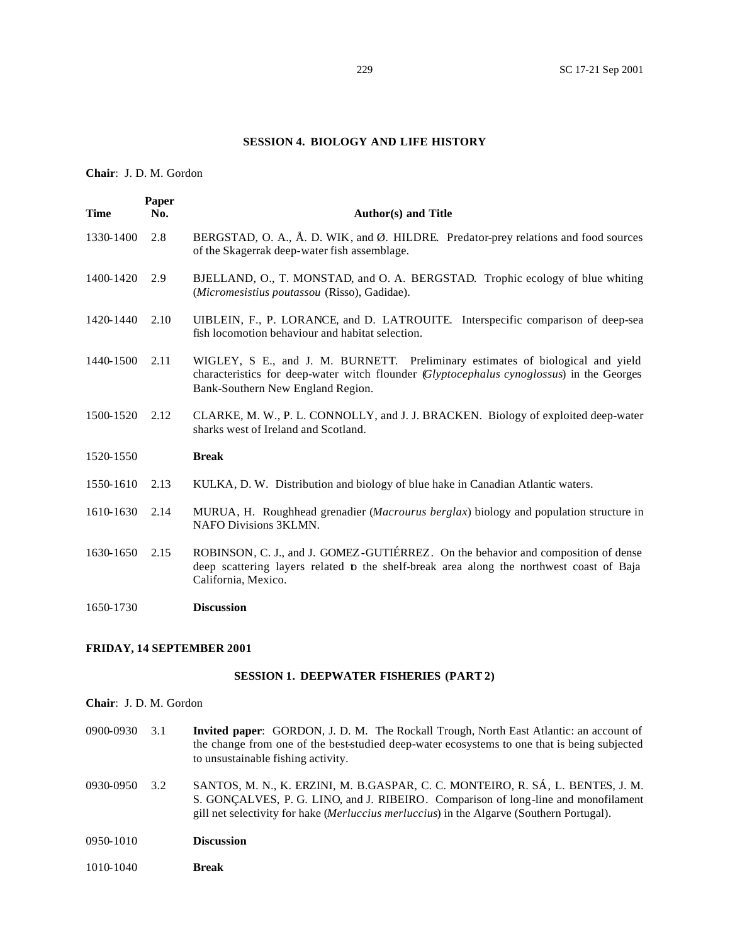#### **SESSION 4. BIOLOGY AND LIFE HISTORY**

**Chair**: J. D. M. Gordon

| <b>Time</b> | Paper<br>No. | <b>Author(s) and Title</b>                                                                                                                                                                                       |
|-------------|--------------|------------------------------------------------------------------------------------------------------------------------------------------------------------------------------------------------------------------|
| 1330-1400   | 2.8          | BERGSTAD, O. A., Å. D. WIK, and Ø. HILDRE. Predator-prey relations and food sources<br>of the Skagerrak deep-water fish assemblage.                                                                              |
| 1400-1420   | 2.9          | BJELLAND, O., T. MONSTAD, and O. A. BERGSTAD. Trophic ecology of blue whiting<br>(Micromesistius poutassou (Risso), Gadidae).                                                                                    |
| 1420-1440   | 2.10         | UIBLEIN, F., P. LORANCE, and D. LATROUITE. Interspecific comparison of deep-sea<br>fish locomotion behaviour and habitat selection.                                                                              |
| 1440-1500   | 2.11         | WIGLEY, S E., and J. M. BURNETT. Preliminary estimates of biological and yield<br>characteristics for deep-water witch flounder (Glyptocephalus cynoglossus) in the Georges<br>Bank-Southern New England Region. |
| 1500-1520   | 2.12         | CLARKE, M. W., P. L. CONNOLLY, and J. J. BRACKEN. Biology of exploited deep-water<br>sharks west of Ireland and Scotland.                                                                                        |
| 1520-1550   |              | <b>Break</b>                                                                                                                                                                                                     |
| 1550-1610   | 2.13         | KULKA, D. W. Distribution and biology of blue hake in Canadian Atlantic waters.                                                                                                                                  |
| 1610-1630   | 2.14         | MURUA, H. Roughhead grenadier (Macrourus berglax) biology and population structure in<br>NAFO Divisions 3KLMN.                                                                                                   |
| 1630-1650   | 2.15         | ROBINSON, C. J., and J. GOMEZ-GUTIÉRREZ. On the behavior and composition of dense<br>deep scattering layers related to the shelf-break area along the northwest coast of Baja<br>California, Mexico.             |
| 1650-1730   |              | <b>Discussion</b>                                                                                                                                                                                                |

## **FRIDAY, 14 SEPTEMBER 2001**

#### **SESSION 1. DEEPWATER FISHERIES (PART 2)**

- **Chair**: J. D. M. Gordon
- 0900-0930 3.1 **Invited paper**: GORDON, J. D. M. The Rockall Trough, North East Atlantic: an account of the change from one of the best-studied deep-water ecosystems to one that is being subjected to unsustainable fishing activity.
- 0930-0950 3.2 SANTOS, M. N., K. ERZINI, M. B.GASPAR, C. C. MONTEIRO, R. SÁ, L. BENTES, J. M. S. GONÇALVES, P. G. LINO, and J. RIBEIRO. Comparison of long-line and monofilament gill net selectivity for hake (*Merluccius merluccius*) in the Algarve (Southern Portugal).
- 0950-1010 **Discussion**
- 1010-1040 **Break**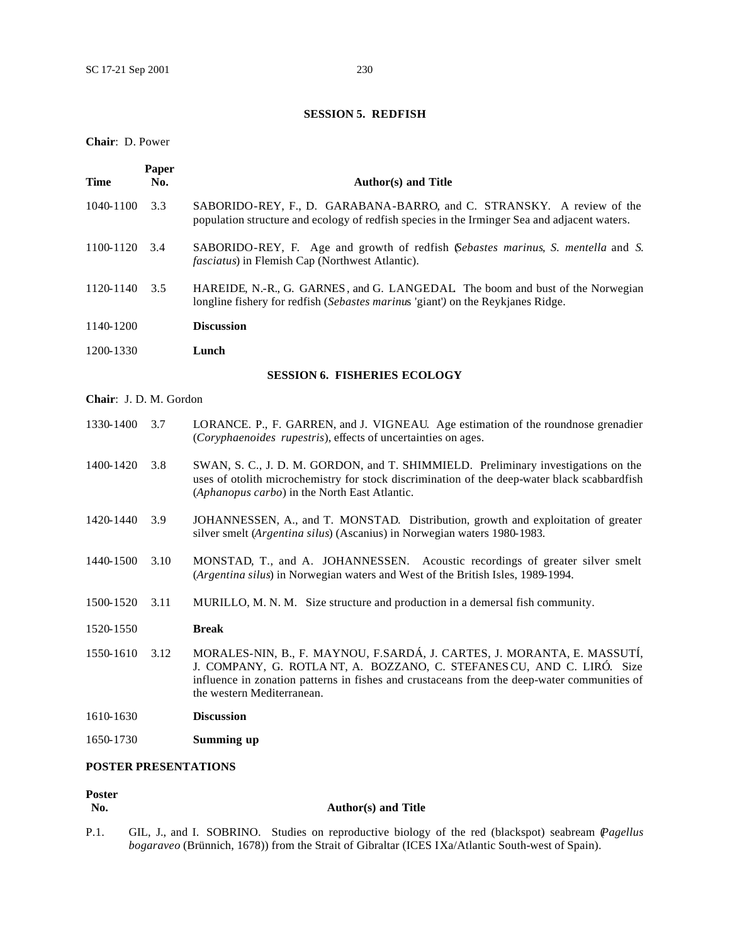## **SESSION 5. REDFISH**

## **Chair**: D. Power

| Time                   | Paper<br>No. | <b>Author(s) and Title</b>                                                                                                                                                                                                                                                     |
|------------------------|--------------|--------------------------------------------------------------------------------------------------------------------------------------------------------------------------------------------------------------------------------------------------------------------------------|
| 1040-1100              | 3.3          | SABORIDO-REY, F., D. GARABANA-BARRO, and C. STRANSKY. A review of the<br>population structure and ecology of redfish species in the Irminger Sea and adjacent waters.                                                                                                          |
| 1100-1120              | 3.4          | SABORIDO-REY, F. Age and growth of redfish (Sebastes marinus, S. mentella and S.<br><i>fasciatus</i> ) in Flemish Cap (Northwest Atlantic).                                                                                                                                    |
| 1120-1140              | 3.5          | HAREIDE, N.-R., G. GARNES, and G. LANGEDAL The boom and bust of the Norwegian<br>longline fishery for redfish (Sebastes marinus 'giant') on the Reykjanes Ridge.                                                                                                               |
| 1140-1200              |              | <b>Discussion</b>                                                                                                                                                                                                                                                              |
| 1200-1330              |              | Lunch                                                                                                                                                                                                                                                                          |
|                        |              | <b>SESSION 6. FISHERIES ECOLOGY</b>                                                                                                                                                                                                                                            |
| Chair: J. D. M. Gordon |              |                                                                                                                                                                                                                                                                                |
| 1330-1400              | 3.7          | LORANCE. P., F. GARREN, and J. VIGNEAU. Age estimation of the roundnose grenadier<br>(Coryphaenoides rupestris), effects of uncertainties on ages.                                                                                                                             |
| 1400-1420              | 3.8          | SWAN, S. C., J. D. M. GORDON, and T. SHIMMIELD. Preliminary investigations on the<br>uses of otolith microchemistry for stock discrimination of the deep-water black scabbardfish<br>(Aphanopus carbo) in the North East Atlantic.                                             |
| 1420-1440              | 3.9          | JOHANNESSEN, A., and T. MONSTAD. Distribution, growth and exploitation of greater<br>silver smelt (Argentina silus) (Ascanius) in Norwegian waters 1980-1983.                                                                                                                  |
| 1440-1500              | 3.10         | MONSTAD, T., and A. JOHANNESSEN. Acoustic recordings of greater silver smelt<br>(Argentina silus) in Norwegian waters and West of the British Isles, 1989-1994.                                                                                                                |
| 1500-1520              | 3.11         | MURILLO, M. N. M. Size structure and production in a demersal fish community.                                                                                                                                                                                                  |
| 1520-1550              |              | <b>Break</b>                                                                                                                                                                                                                                                                   |
| 1550-1610              | 3.12         | MORALES-NIN, B., F. MAYNOU, F.SARDÁ, J. CARTES, J. MORANTA, E. MASSUTÍ,<br>J. COMPANY, G. ROTLA NT, A. BOZZANO, C. STEFANES CU, AND C. LIRÓ. Size<br>influence in zonation patterns in fishes and crustaceans from the deep-water communities of<br>the western Mediterranean. |
| 1610-1630              |              | <b>Discussion</b>                                                                                                                                                                                                                                                              |
| 1650-1730              |              | Summing up                                                                                                                                                                                                                                                                     |

## **POSTER PRESENTATIONS**

# Poster<br>No.

## **No. Author(s) and Title**

P.1. GIL, J., and I. SOBRINO. Studies on reproductive biology of the red (blackspot) seabream (*Pagellus bogaraveo* (Brünnich, 1678)) from the Strait of Gibraltar (ICES IXa/Atlantic South-west of Spain).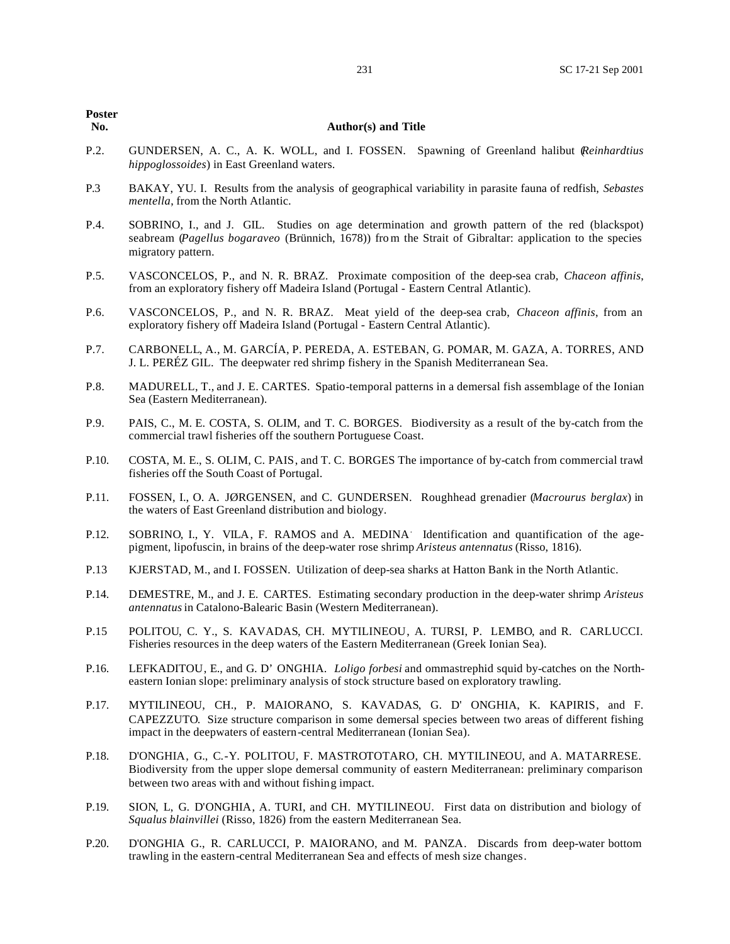#### **No. Author(s) and Title**

- P.2. GUNDERSEN, A. C., A. K. WOLL, and I. FOSSEN. Spawning of Greenland halibut (*Reinhardtius hippoglossoides*) in East Greenland waters.
- P.3 BAKAY, YU. I. Results from the analysis of geographical variability in parasite fauna of redfish, *Sebastes mentella*, from the North Atlantic.
- P.4. SOBRINO, I., and J. GIL. Studies on age determination and growth pattern of the red (blackspot) seabream (*Pagellus bogaraveo* (Brünnich, 1678)) from the Strait of Gibraltar: application to the species migratory pattern.
- P.5. VASCONCELOS, P., and N. R. BRAZ. Proximate composition of the deep-sea crab, *Chaceon affinis*, from an exploratory fishery off Madeira Island (Portugal - Eastern Central Atlantic).
- P.6. VASCONCELOS, P., and N. R. BRAZ. Meat yield of the deep-sea crab, *Chaceon affinis*, from an exploratory fishery off Madeira Island (Portugal - Eastern Central Atlantic).
- P.7. CARBONELL, A., M. GARCÍA, P. PEREDA, A. ESTEBAN, G. POMAR, M. GAZA, A. TORRES, AND J. L. PERÉZ GIL. The deepwater red shrimp fishery in the Spanish Mediterranean Sea.
- P.8. MADURELL, T., and J. E. CARTES. Spatio-temporal patterns in a demersal fish assemblage of the Ionian Sea (Eastern Mediterranean).
- P.9. PAIS, C., M. E. COSTA, S. OLIM, and T. C. BORGES. Biodiversity as a result of the by-catch from the commercial trawl fisheries off the southern Portuguese Coast.
- P.10. COSTA, M. E., S. OLIM, C. PAIS, and T. C. BORGES The importance of by-catch from commercial trawl fisheries off the South Coast of Portugal.
- P.11. FOSSEN, I., O. A. JØRGENSEN, and C. GUNDERSEN. Roughhead grenadier (*Macrourus berglax*) in the waters of East Greenland distribution and biology.
- P.12. SOBRINO, I., Y. VILA, F. RAMOS and A. MEDINA. Identification and quantification of the agepigment, lipofuscin, in brains of the deep-water rose shrimp *Aristeus antennatus* (Risso, 1816).
- P.13 KJERSTAD, M., and I. FOSSEN. Utilization of deep-sea sharks at Hatton Bank in the North Atlantic.
- P.14. DEMESTRE, M., and J. E. CARTES. Estimating secondary production in the deep-water shrimp *Aristeus antennatus* in Catalono-Balearic Basin (Western Mediterranean).
- P.15 POLITOU, C. Y., S. KAVADAS, CH. MYTILINEOU, A. TURSI, P. LEMBO, and R. CARLUCCI. Fisheries resources in the deep waters of the Eastern Mediterranean (Greek Ionian Sea).
- P.16. LEFKADITOU, E., and G. D' ONGHIA. *Loligo forbesi* and ommastrephid squid by-catches on the Northeastern Ionian slope: preliminary analysis of stock structure based on exploratory trawling.
- P.17. MYTILINEOU, CH., P. MAIORANO, S. KAVADAS, G. D' ONGHIA, K. KAPIRIS, and F. CAPEZZUTO. Size structure comparison in some demersal species between two areas of different fishing impact in the deepwaters of eastern-central Mediterranean (Ionian Sea).
- P.18. D'ONGHIA, G., C.-Y. POLITOU, F. MASTROTOTARO, CH. MYTILINEOU, and A. MATARRESE. Biodiversity from the upper slope demersal community of eastern Mediterranean: preliminary comparison between two areas with and without fishing impact.
- P.19. SION, L, G. D'ONGHIA, A. TURI, and CH. MYTILINEOU. First data on distribution and biology of *Squalus blainvillei* (Risso, 1826) from the eastern Mediterranean Sea.
- P.20. D'ONGHIA G., R. CARLUCCI, P. MAIORANO, and M. PANZA. Discards from deep-water bottom trawling in the eastern-central Mediterranean Sea and effects of mesh size changes.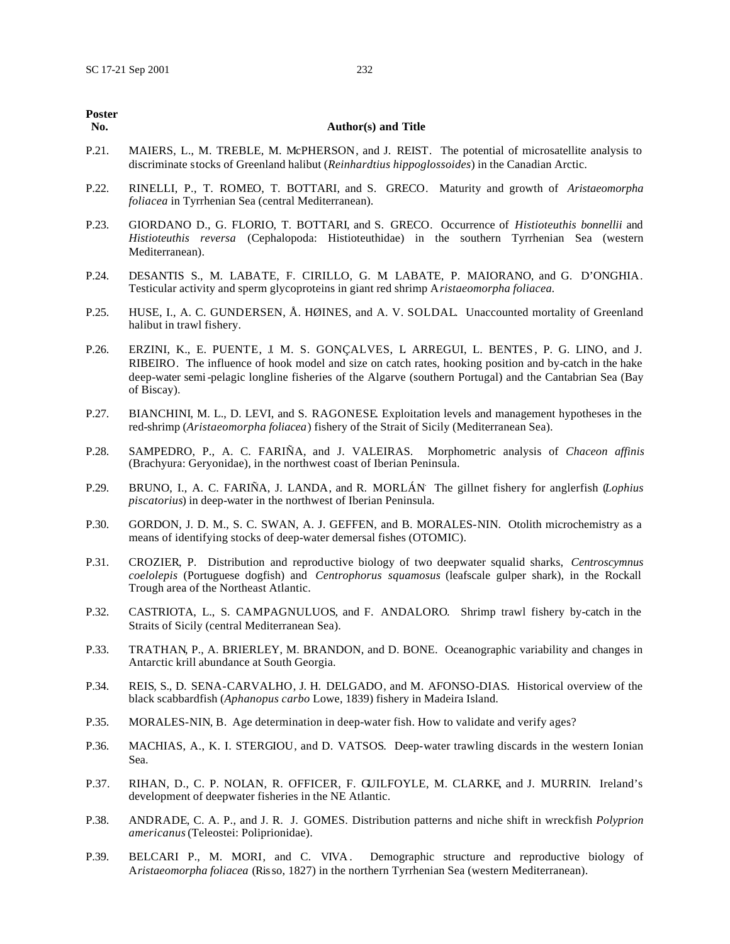| Poster<br>No. | <b>Author(s) and Title</b>                                                                                                                                                                                                                                                                                                 |
|---------------|----------------------------------------------------------------------------------------------------------------------------------------------------------------------------------------------------------------------------------------------------------------------------------------------------------------------------|
| P.21.         | MAIERS, L., M. TREBLE, M. McPHERSON, and J. REIST. The potential of microsatellite analysis to<br>discriminate stocks of Greenland halibut (Reinhardtius hippoglossoides) in the Canadian Arctic.                                                                                                                          |
| P.22.         | RINELLI, P., T. ROMEO, T. BOTTARI, and S. GRECO. Maturity and growth of Aristaeomorpha<br>foliacea in Tyrrhenian Sea (central Mediterranean).                                                                                                                                                                              |
| P.23.         | GIORDANO D., G. FLORIO, T. BOTTARI, and S. GRECO. Occurrence of Histioteuthis bonnellii and<br>Histioteuthis reversa (Cephalopoda: Histioteuthidae) in the southern Tyrrhenian Sea (western<br>Mediterranean).                                                                                                             |
| P.24.         | DESANTIS S., M. LABATE, F. CIRILLO, G. M LABATE, P. MAIORANO, and G. D'ONGHIA.<br>Testicular activity and sperm glycoproteins in giant red shrimp Aristaeomorpha foliacea.                                                                                                                                                 |
| P.25.         | HUSE, I., A. C. GUNDERSEN, Å. HØINES, and A. V. SOLDAL. Unaccounted mortality of Greenland<br>halibut in trawl fishery.                                                                                                                                                                                                    |
| P.26.         | ERZINI, K., E. PUENTE, J. M. S. GONÇALVES, L ARREGUI, L. BENTES, P. G. LINO, and J.<br>RIBEIRO. The influence of hook model and size on catch rates, hooking position and by-catch in the hake<br>deep-water semi-pelagic longline fisheries of the Algarve (southern Portugal) and the Cantabrian Sea (Bay<br>of Biscay). |
| P.27.         | BIANCHINI, M. L., D. LEVI, and S. RAGONESE Exploitation levels and management hypotheses in the<br>red-shrimp (Aristaeomorpha foliacea) fishery of the Strait of Sicily (Mediterranean Sea).                                                                                                                               |
| P.28.         | SAMPEDRO, P., A. C. FARIÑA, and J. VALEIRAS. Morphometric analysis of Chaceon affinis<br>(Brachyura: Geryonidae), in the northwest coast of Iberian Peninsula.                                                                                                                                                             |
| P.29.         | BRUNO, I., A. C. FARIÑA, J. LANDA, and R. MORLÁN The gillnet fishery for anglerfish (Lophius<br>piscatorius) in deep-water in the northwest of Iberian Peninsula.                                                                                                                                                          |
| P.30.         | GORDON, J. D. M., S. C. SWAN, A. J. GEFFEN, and B. MORALES-NIN. Otolith microchemistry as a<br>means of identifying stocks of deep-water demersal fishes (OTOMIC).                                                                                                                                                         |
| P.31.         | CROZIER, P. Distribution and reproductive biology of two deepwater squalid sharks, Centroscymnus<br>coelolepis (Portuguese dogfish) and Centrophorus squamosus (leafscale gulper shark), in the Rockall<br>Trough area of the Northeast Atlantic.                                                                          |
| P.32.         | CASTRIOTA, L., S. CAMPAGNULUOS, and F. ANDALORO. Shrimp trawl fishery by-catch in the<br>Straits of Sicily (central Mediterranean Sea).                                                                                                                                                                                    |
| P.33.         | TRATHAN, P., A. BRIERLEY, M. BRANDON, and D. BONE. Oceanographic variability and changes in<br>Antarctic krill abundance at South Georgia.                                                                                                                                                                                 |
| P.34.         | REIS, S., D. SENA-CARVALHO, J. H. DELGADO, and M. AFONSO-DIAS. Historical overview of the<br>black scabbardfish (Aphanopus carbo Lowe, 1839) fishery in Madeira Island.                                                                                                                                                    |
| P.35.         | MORALES-NIN, B. Age determination in deep-water fish. How to validate and verify ages?                                                                                                                                                                                                                                     |
| P.36.         | MACHIAS, A., K. I. STERGIOU, and D. VATSOS. Deep-water trawling discards in the western Ionian<br>Sea.                                                                                                                                                                                                                     |

- P.37. RIHAN, D., C. P. NOLAN, R. OFFICER, F. GUILFOYLE, M. CLARKE, and J. MURRIN. Ireland's development of deepwater fisheries in the NE Atlantic.
- P.38. ANDRADE, C. A. P., and J. R. J. GOMES. Distribution patterns and niche shift in wreckfish *Polyprion americanus* (Teleostei: Poliprionidae).
- P.39. BELCARI P., M. MORI, and C. VIVA. Demographic structure and reproductive biology of A*ristaeomorpha foliacea* (Risso, 1827) in the northern Tyrrhenian Sea (western Mediterranean).

# Poste<br>No.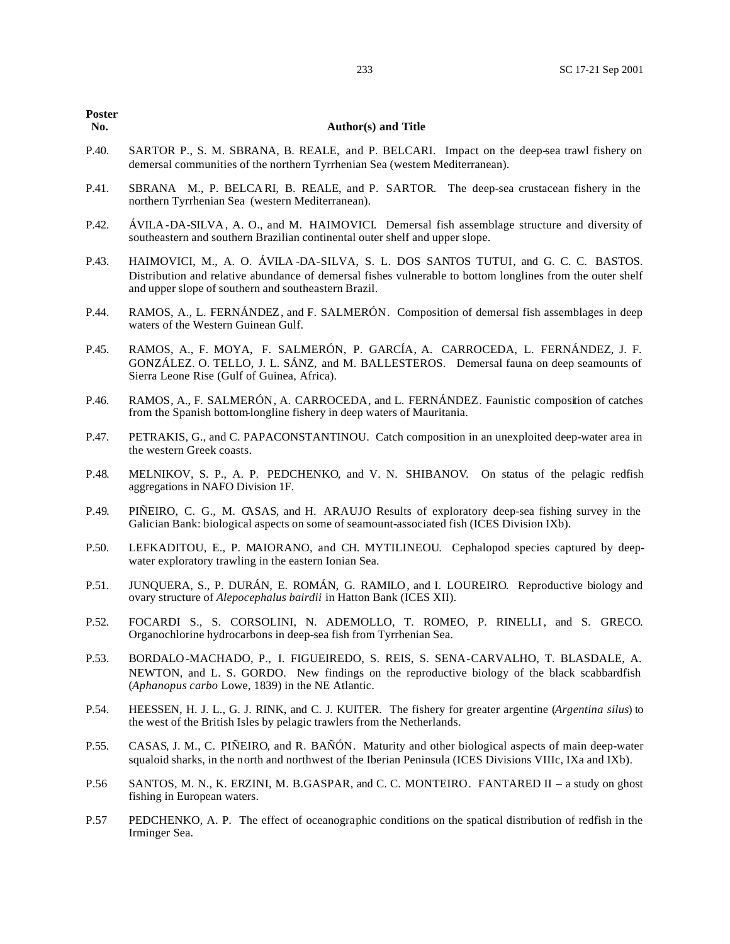#### **No. Author(s) and Title**

- P.40. SARTOR P., S. M. SBRANA, B. REALE, and P. BELCARI. Impact on the deep-sea trawl fishery on demersal communities of the northern Tyrrhenian Sea (western Mediterranean).
- P.41. SBRANA M., P. BELCA RI, B. REALE, and P. SARTOR. The deep-sea crustacean fishery in the northern Tyrrhenian Sea (western Mediterranean).
- P.42. ÁVILA-DA-SILVA, A. O., and M. HAIMOVICI. Demersal fish assemblage structure and diversity of southeastern and southern Brazilian continental outer shelf and upper slope.
- P.43. HAIMOVICI, M., A. O. ÁVILA -DA-SILVA, S. L. DOS SANTOS TUTUI, and G. C. C. BASTOS. Distribution and relative abundance of demersal fishes vulnerable to bottom longlines from the outer shelf and upper slope of southern and southeastern Brazil.
- P.44. RAMOS, A., L. FERNÁNDEZ, and F. SALMERÓN. Composition of demersal fish assemblages in deep waters of the Western Guinean Gulf.
- P.45. RAMOS, A., F. MOYA, F. SALMERÓN, P. GARCÍA, A. CARROCEDA, L. FERNÁNDEZ, J. F. GONZÁLEZ. O. TELLO, J. L. SÁNZ, and M. BALLESTEROS. Demersal fauna on deep seamounts of Sierra Leone Rise (Gulf of Guinea, Africa).
- P.46. RAMOS, A., F. SALMERÓN, A. CARROCEDA, and L. FERNÁNDEZ. Faunistic composition of catches from the Spanish bottom-longline fishery in deep waters of Mauritania.
- P.47. PETRAKIS, G., and C. PAPACONSTANTINOU. Catch composition in an unexploited deep-water area in the western Greek coasts.
- P.48. MELNIKOV, S. P., A. P. PEDCHENKO, and V. N. SHIBANOV. On status of the pelagic redfish aggregations in NAFO Division 1F.
- P.49. PIÑEIRO, C. G., M. CASAS, and H. ARAUJO Results of exploratory deep-sea fishing survey in the Galician Bank: biological aspects on some of seamount-associated fish (ICES Division IXb).
- P.50. LEFKADITOU, E., P. MAIORANO, and CH. MYTILINEOU. Cephalopod species captured by deepwater exploratory trawling in the eastern Ionian Sea.
- P.51. JUNQUERA, S., P. DURÁN, E. ROMÁN, G. RAMILO, and I. LOUREIRO. Reproductive biology and ovary structure of *Alepocephalus bairdii* in Hatton Bank (ICES XII).
- P.52. FOCARDI S., S. CORSOLINI, N. ADEMOLLO, T. ROMEO, P. RINELLI, and S. GRECO. Organochlorine hydrocarbons in deep-sea fish from Tyrrhenian Sea.
- P.53. BORDALO -MACHADO, P., I. FIGUEIREDO, S. REIS, S. SENA-CARVALHO, T. BLASDALE, A. NEWTON, and L. S. GORDO. New findings on the reproductive biology of the black scabbardfish (*Aphanopus carbo* Lowe, 1839) in the NE Atlantic.
- P.54. HEESSEN, H. J. L., G. J. RINK, and C. J. KUITER. The fishery for greater argentine (*Argentina silus*) to the west of the British Isles by pelagic trawlers from the Netherlands.
- P.55. CASAS, J. M., C. PIÑEIRO, and R. BAÑÓN. Maturity and other biological aspects of main deep-water squaloid sharks, in the north and northwest of the Iberian Peninsula (ICES Divisions VIIIc, IXa and IXb).
- P.56 SANTOS, M. N., K. ERZINI, M. B.GASPAR, and C. C. MONTEIRO. FANTARED II a study on ghost fishing in European waters.
- P.57 PEDCHENKO, A. P. The effect of oceanographic conditions on the spatical distribution of redfish in the Irminger Sea.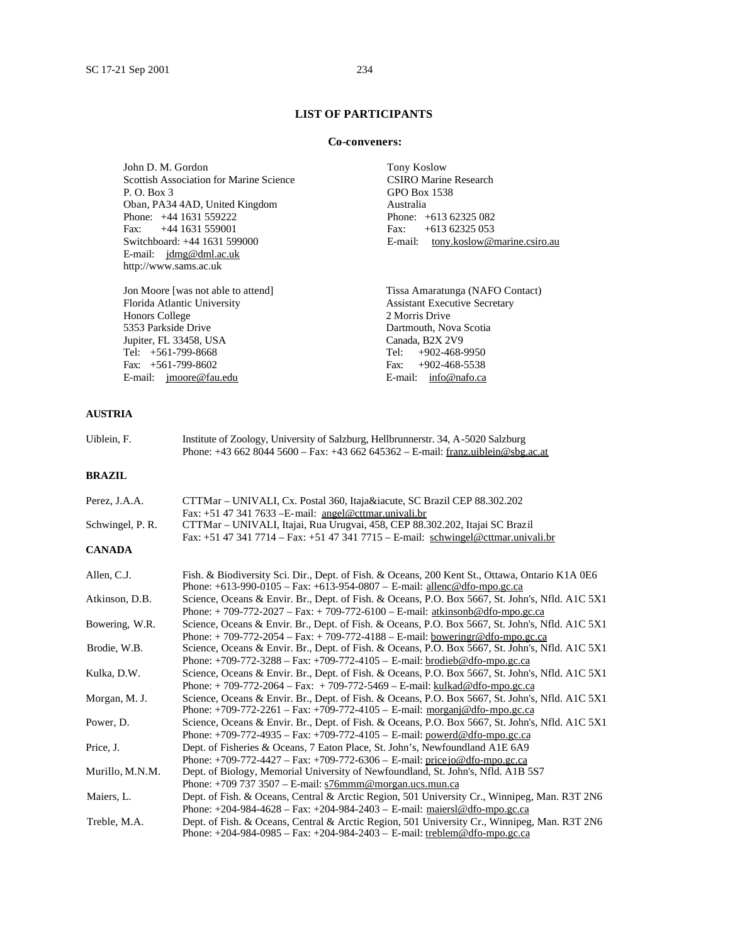## **LIST OF PARTICIPANTS**

#### **Co-conveners:**

John D. M. Gordon Tony Koslow<br>
Scottish Association for Marine Science The CSIRO Marine Research Scottish Association for Marine Science P. O. Box 3 GPO Box 1538 Oban, PA34 4AD, United Kingdom Australia Phone: +44 1631 559222 Phone: +613 62325 082 Fax: +44 1631 559001 Fax: +613 62325 053<br>Switchboard: +44 1631 599000 Fax: +613 62325 053 E-mail: jdmg@dml.ac.uk http://www.sams.ac.uk

Jon Moore [was not able to attend] Tissa Amaratunga (NAFO Contact) Honors College<br>5353 Parkside Drive Jupiter, FL 33458, USA<br>Tel: +561-799-8668 Tel: +561-799-8668 Tel: +902-468-9950 Fax: +561-799-8602 Fax: +902-468-5538 E-mail: jmoore@fau.edu E-mail: info@nafo.ca

E-mail: tony.koslow@marine.csiro.au

Assistant Executive Secretary<br>2 Morris Drive Dartmouth, Nova Scotia<br>Canada, B2X 2V9

## **AUSTRIA**

| Uiblein, F.      | Institute of Zoology, University of Salzburg, Hellbrunnerstr. 34, A-5020 Salzburg<br>Phone: +43 662 8044 5600 - Fax: +43 662 645362 - E-mail: franz.uiblein@sbg.ac.at                                                                                                                       |
|------------------|---------------------------------------------------------------------------------------------------------------------------------------------------------------------------------------------------------------------------------------------------------------------------------------------|
| <b>BRAZIL</b>    |                                                                                                                                                                                                                                                                                             |
| Perez, J.A.A.    | CTTMar – UNIVALI, Cx. Postal 360, Itajaí, SC Brazil CEP 88.302.202<br>Fax: +51 47 341 7633 - E-mail: angel@cttmar.univali.br                                                                                                                                                                |
| Schwingel, P. R. | CTTMar – UNIVALI, Itajai, Rua Urugvai, 458, CEP 88.302.202, Itajai SC Brazil<br>Fax: +51 47 341 7714 – Fax: +51 47 341 7715 – E-mail: schwingel@cttmar.univali.br                                                                                                                           |
| <b>CANADA</b>    |                                                                                                                                                                                                                                                                                             |
| Allen, C.J.      | Fish. & Biodiversity Sci. Dir., Dept. of Fish. & Oceans, 200 Kent St., Ottawa, Ontario K1A 0E6<br>Phone: $+613-990-0105 - Fax: +613-954-0807 - E-mail: \underline{allenc@dfo-mpo.gc.ca}$                                                                                                    |
| Atkinson, D.B.   | Science, Oceans & Envir. Br., Dept. of Fish. & Oceans, P.O. Box 5667, St. John's, Nfld. A1C 5X1<br>Phone: +709-772-2027 - Fax: +709-772-6100 - E-mail: atkinsonb@dfo-mpo.gc.ca                                                                                                              |
| Bowering, W.R.   | Science, Oceans & Envir. Br., Dept. of Fish. & Oceans, P.O. Box 5667, St. John's, Nfld. A1C 5X1<br>Phone: +709-772-2054 - Fax: +709-772-4188 - E-mail: boweringr@dfo-mpo.gc.ca                                                                                                              |
| Brodie, W.B.     | Science, Oceans & Envir. Br., Dept. of Fish. & Oceans, P.O. Box 5667, St. John's, Nfld. A1C 5X1<br>Phone: $+709-772-3288 - Fax: +709-772-4105 - E-mail: brodieb@dfo-mpo.gc.ca$                                                                                                              |
| Kulka, D.W.      | Science, Oceans & Envir. Br., Dept. of Fish. & Oceans, P.O. Box 5667, St. John's, Nfld. A1C 5X1<br>Phone: $+709-772-2064$ – Fax: $+709-772-5469$ – E-mail: kulkad@dfo-mpo.gc.ca                                                                                                             |
| Morgan, M.J.     | Science, Oceans & Envir. Br., Dept. of Fish. & Oceans, P.O. Box 5667, St. John's, Nfld. A1C 5X1<br>Phone: +709-772-2261 - Fax: +709-772-4105 - E-mail: $\frac{1}{\text{morgani}}$ @dfo-mpo.gc.ca                                                                                            |
| Power, D.        | Science, Oceans & Envir. Br., Dept. of Fish. & Oceans, P.O. Box 5667, St. John's, Nfld. A1C 5X1<br>Phone: +709-772-4935 - Fax: +709-772-4105 - E-mail: $powerd@dfo-mpo.gc.ca$                                                                                                               |
| Price, J.        | Dept. of Fisheries & Oceans, 7 Eaton Place, St. John's, Newfoundland A1E 6A9<br>Phone: +709-772-4427 – Fax: +709-772-6306 – E-mail: price jo@dfo-mpo.gc.ca                                                                                                                                  |
| Murillo, M.N.M.  | Dept. of Biology, Memorial University of Newfoundland, St. John's, Nfld. A1B 5S7<br>Phone: $+7097373507 - E$ -mail: $\frac{s76 \text{mmm} @ \text{morgan.ucs.mun.ca}}{2 \text{m} \cdot \text{m} \cdot \text{m} \cdot \text{m} \cdot \text{m} \cdot \text{m} \cdot \text{m} \cdot \text{m}}$ |
| Maiers, L.       | Dept. of Fish. & Oceans, Central & Arctic Region, 501 University Cr., Winnipeg, Man. R3T 2N6<br>Phone: $+204-984-4628 - Fax$ : $+204-984-2403 - E-mail$ : maiersl@dfo-mpo.gc.ca                                                                                                             |
| Treble, M.A.     | Dept. of Fish. & Oceans, Central & Arctic Region, 501 University Cr., Winnipeg, Man. R3T 2N6<br>Phone: $+204-984-0985 - Fax: +204-984-2403 - E-mail:$ treblem @ dfo-mpo.gc.ca                                                                                                               |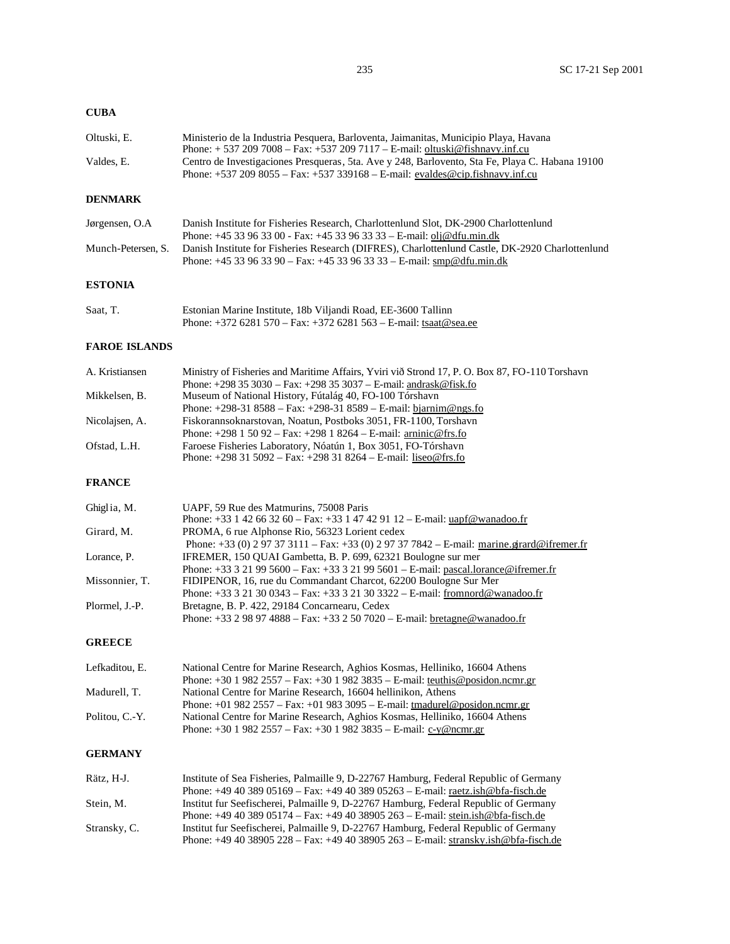# **CUBA**

| Oltuski. E. | Ministerio de la Industria Pesquera, Barloventa, Jaimanitas, Municipio Playa, Havana            |
|-------------|-------------------------------------------------------------------------------------------------|
|             | Phone: $+ 5372097008 - Fax: +5372097117 - E-mail$ : oltuski@fishnavy.inf.cu                     |
| Valdes. E.  | Centro de Investigaciones Presqueras, 5ta. Ave y 248, Barlovento, Sta Fe, Playa C. Habana 19100 |
|             | Phone: $+537\,209\,8055$ – Fax: $+537\,339168$ – E-mail: evaldes@cip.fishnavy.inf.cu            |

## **DENMARK**

| Jørgensen, O.A | Danish Institute for Fisheries Research, Charlottenlund Slot, DK-2900 Charlottenlund                               |
|----------------|--------------------------------------------------------------------------------------------------------------------|
|                | Phone: $+4533963300 - Fax$ : $+453396333 - E$ -mail: olj@dfu.min.dk                                                |
|                | Munch-Petersen, S. Danish Institute for Fisheries Research (DIFRES), Charlottenlund Castle, DK-2920 Charlottenlund |
|                | Phone: $+45$ 33 96 33 90 – Fax: $+45$ 33 96 33 33 – E-mail: smp@dfu.min.dk                                         |

## **ESTONIA**

| Saat, T. | Estonian Marine Institute, 18b Viljandi Road, EE-3600 Tallinn      |
|----------|--------------------------------------------------------------------|
|          | Phone: $+3726281570 - Fax$ : $+3726281563 - E-mail$ : tsaat@sea.ee |

## **FAROE ISLANDS**

| A. Kristiansen | Ministry of Fisheries and Maritime Affairs, Yviri við Strond 17, P. O. Box 87, FO-110 Torshavn |
|----------------|------------------------------------------------------------------------------------------------|
|                | Phone: $+298353030 - Fax$ : $+298353037 - E$ -mail: andrask@fisk.fo                            |
| Mikkelsen, B.  | Museum of National History, Fútalág 40, FO-100 Tórshavn                                        |
|                | Phone: $+298-318588 - Fax$ : $+298-318589 - E-mail$ : bjarnim@ngs.fo                           |
| Nicolaisen, A. | Fiskorannsoknarstovan, Noatun, Postboks 3051, FR-1100, Torshavn                                |
|                | Phone: $+298$ 1 50 92 – Fax: $+298$ 1 8264 – E-mail: arninic@frs.fo                            |
| Ofstad, L.H.   | Faroese Fisheries Laboratory, Nóatún 1, Box 3051, FO-Tórshavn                                  |
|                | Phone: $+298315092 - Fax$ : $+298318264 - E-mail$ : liseo@frs.fo                               |

## **FRANCE**

| Ghiglia, M.    | UAPF, 59 Rue des Matmurins, 75008 Paris                                                      |
|----------------|----------------------------------------------------------------------------------------------|
|                | Phone: +33 1 42 66 32 60 - Fax: +33 1 47 42 91 12 - E-mail: $u$ apf@wanadoo.fr               |
| Girard, M.     | PROMA, 6 rue Alphonse Rio, 56323 Lorient cedex                                               |
|                | Phone: +33 (0) 2 97 37 3111 – Fax: +33 (0) 2 97 37 7842 – E-mail: marine.grard@ifremer.fr    |
| Lorance, P.    | IFREMER, 150 QUAI Gambetta, B. P. 699, 62321 Boulogne sur mer                                |
|                | Phone: +33 3 21 99 5600 – Fax: +33 3 21 99 5601 – E-mail: pascal.lorance@ifremer.fr          |
| Missonnier. T. | FIDIPENOR, 16, rue du Commandant Charcot, 62200 Boulogne Sur Mer                             |
|                | Phone: $+33\,3\,21\,30\,0343$ – Fax: $+33\,3\,21\,30\,3322$ – E-mail: from nord @ wanadoo.fr |
| Plormel, J.-P. | Bretagne, B. P. 422, 29184 Concarnearu, Cedex                                                |
|                | Phone: $+33298974888 - Fax$ : $+332507020 - E$ -mail: bretagne@wanadoo.fr                    |

## **GREECE**

| Lefkaditou, E. | National Centre for Marine Research, Aghios Kosmas, Helliniko, 16604 Athens    |
|----------------|--------------------------------------------------------------------------------|
|                | Phone: $+3019822557 - Fax$ : $+3019823835 - E-mail$ : teuthis @posidon.ncmr.gr |
| Madurell. T.   | National Centre for Marine Research, 16604 hellinikon, Athens                  |
|                | Phone: $+019822557 - Fax$ : $+019833095 - E-mail$ : tmadurel@posidon.ncmr.gr   |
| Politou. C.-Y. | National Centre for Marine Research, Aghios Kosmas, Helliniko, 16604 Athens    |
|                | Phone: $+3019822557 - Fax: +3019823835 - E-mail: c-y@ncmr.gr$                  |

# **GERMANY**

| Rätz. H-J.   | Institute of Sea Fisheries, Palmaille 9, D-22767 Hamburg, Federal Republic of Germany           |
|--------------|-------------------------------------------------------------------------------------------------|
|              | Phone: $+49,40,389,05169 - Fax$ : $+49,40,389,05263 - E-mail$ : raetz.ish@bfa-fisch.de          |
| Stein. M.    | Institut fur Seefischerei, Palmaille 9, D-22767 Hamburg, Federal Republic of Germany            |
|              | Phone: +49 40 389 05174 – Fax: +49 40 38905 263 – E-mail: stein.ish@bfa-fisch.de                |
| Stransky, C. | Institut fur Seefischerei, Palmaille 9, D-22767 Hamburg, Federal Republic of Germany            |
|              | Phone: $+49\,40\,38905\,228 - Fax$ : $+49\,40\,38905\,263 - E$ -mail: stransky.ish@bfa-fisch.de |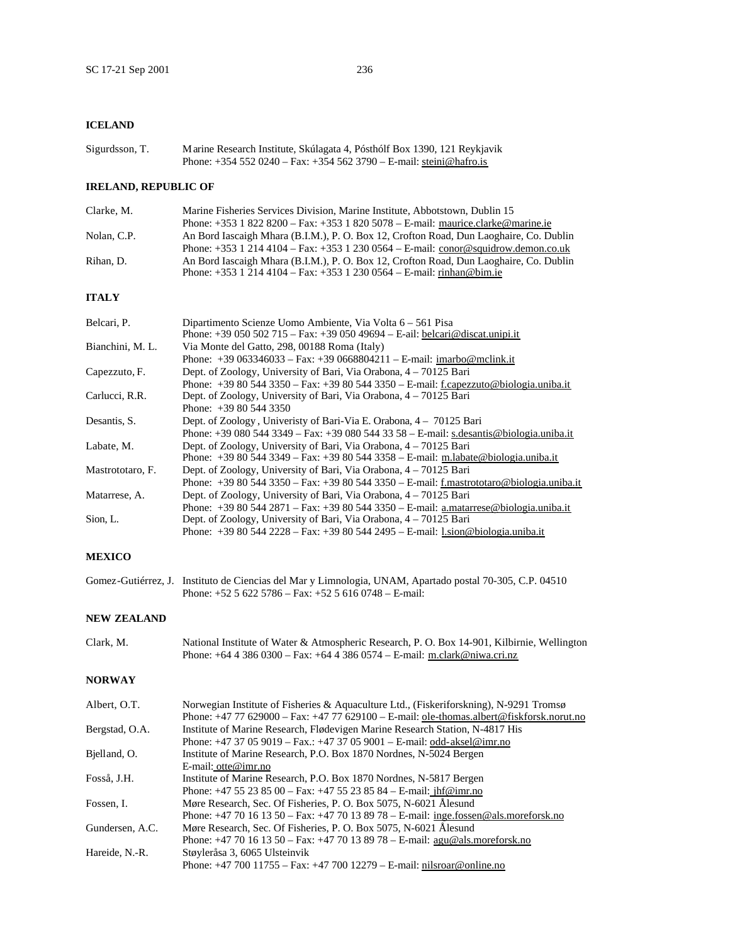## **ICELAND**

| Sigurdsson, T. | Marine Research Institute, Skúlagata 4, Pósthólf Box 1390, 121 Reykjavik |
|----------------|--------------------------------------------------------------------------|
|                | Phone: $+354520240 - Fax$ : $+3545623790 - F-mail$ : steini@hafro.is     |

## **IRELAND, REPUBLIC OF**

| Clarke, M.  | Marine Fisheries Services Division, Marine Institute, Abbotstown, Dublin 15            |
|-------------|----------------------------------------------------------------------------------------|
|             | Phone: $+353$ 1 822 8200 – Fax: $+353$ 1 820 5078 – E-mail: maurice.clarke@marine.ie   |
| Nolan, C.P. | An Bord Iascaigh Mhara (B.I.M.), P. O. Box 12, Crofton Road, Dun Laoghaire, Co. Dublin |
|             | Phone: $+353$ 1 214 4104 – Fax: $+353$ 1 230 0564 – E-mail: conor@squidrow.demon.co.uk |
| Rihan. D.   | An Bord Iascaigh Mhara (B.I.M.), P. O. Box 12, Crofton Road, Dun Laoghaire, Co. Dublin |
|             | Phone: $+353$ 1 214 4104 – Fax: $+353$ 1 230 0564 – E-mail: rinhan@bim.ie              |

## **ITALY**

| Belcari, P.      | Dipartimento Scienze Uomo Ambiente, Via Volta 6 – 561 Pisa<br>Phone: $+39050502715 - Fax: +3905049694 - E-ail: belcari@discat.unipi.it$ |
|------------------|-----------------------------------------------------------------------------------------------------------------------------------------|
| Bianchini, M. L. | Via Monte del Gatto, 298, 00188 Roma (Italy)                                                                                            |
|                  | Phone: $+39\,063346033 - Fax$ : $+39\,0668804211 - E-mail$ : imarbo@mclink.it                                                           |
| Capezzuto, F.    | Dept. of Zoology, University of Bari, Via Orabona, 4 – 70125 Bari                                                                       |
|                  | Phone: $+39805443350 - Fax$ : $+39805443350 - E$ -mail: f.capezzuto@biologia.uniba.it                                                   |
| Carlucci, R.R.   | Dept. of Zoology, University of Bari, Via Orabona, 4 – 70125 Bari                                                                       |
|                  | Phone: $+39805443350$                                                                                                                   |
| Desantis, S.     | Dept. of Zoology, University of Bari-Via E. Orabona, 4 – 70125 Bari                                                                     |
|                  | Phone: $+39\,080\,544\,3349 - Fax$ : $+39\,080\,544\,33\,58 - E$ -mail: s.desantis@biologia.uniba.it                                    |
| Labate, M.       | Dept. of Zoology, University of Bari, Via Orabona, 4 – 70125 Bari                                                                       |
|                  | Phone: $+39805443349 - Fax$ : $+39805443358 - E-mail$ : m.labate@biologia.uniba.it                                                      |
| Mastrototaro, F. | Dept. of Zoology, University of Bari, Via Orabona, 4 – 70125 Bari                                                                       |
|                  | Phone: $+39805443350 - Fax: +39805443350 - E-mail:$ f.mastrototaro@biologia.uniba.it                                                    |
| Matarrese, A.    | Dept. of Zoology, University of Bari, Via Orabona, 4 – 70125 Bari                                                                       |
|                  | Phone: $+39805442871 - Fax$ : $+39805443350 - E$ -mail: a.matarrese@biologia.uniba.it                                                   |
| Sion, L.         | Dept. of Zoology, University of Bari, Via Orabona, 4 – 70125 Bari                                                                       |
|                  | Phone: $+39805442228 - Fax$ : $+39805442495 - E-mail$ : l.sion@biologia.uniba.it                                                        |

#### **MEXICO**

| Gomez-Gutiérrez, J. Instituto de Ciencias del Mar y Limnologia, UNAM, Apartado postal 70-305, C.P. 04510 |
|----------------------------------------------------------------------------------------------------------|
| Phone: $+5256225786 - Fax: +5256160748 - E-mail:$                                                        |

#### **NEW ZEALAND**

Clark, M. National Institute of Water & Atmospheric Research, P. O. Box 14-901, Kilbirnie, Wellington Phone: +64 4 386 0300 – Fax: +64 4 386 0574 – E-mail: m.clark@niwa.cri.nz

#### **NORWAY**

| Albert, O.T.    | Norwegian Institute of Fisheries & Aquaculture Ltd., (Fiskeriforskning), N-9291 Tromsø              |
|-----------------|-----------------------------------------------------------------------------------------------------|
|                 | Phone: $+47$ 77 629000 – Fax: $+47$ 77 629100 – E-mail: ole-thomas.albert@fiskforsk.norut.no        |
| Bergstad, O.A.  | Institute of Marine Research, Flødevigen Marine Research Station, N-4817 His                        |
|                 | Phone: $+4737059019 - Fax$ .: $+4737059001 - E-mail$ : odd-aksel@imr.no                             |
| Bjelland, O.    | Institute of Marine Research, P.O. Box 1870 Nordnes, N-5024 Bergen                                  |
|                 | E-mail: $otte@imr.no$                                                                               |
| Fosså, J.H.     | Institute of Marine Research, P.O. Box 1870 Nordnes, N-5817 Bergen                                  |
|                 | Phone: $+4755238500 - Fax$ : $+4755238584 - E-mail$ : $\frac{\text{inf@imr.no}}{\text{inf@imr.no}}$ |
| Fossen, I.      | Møre Research, Sec. Of Fisheries, P. O. Box 5075, N-6021 Ålesund                                    |
|                 | Phone: $+47$ 70 16 13 50 – Fax: $+47$ 70 13 89 78 – E-mail: inge.fossen@als.moreforsk.no            |
| Gundersen, A.C. | Møre Research, Sec. Of Fisheries, P. O. Box 5075, N-6021 Ålesund                                    |
|                 | Phone: $+4770161350 - Fax$ : $+4770138978 - E$ -mail: agu@als.moreforsk.no                          |
| Hareide, N.-R.  | Støyleråsa 3, 6065 Ulsteinvik                                                                       |
|                 | Phone: $+47,700,11755 - Fax: +47,700,12279 - E-mail: nilsroar@online.no$                            |
|                 |                                                                                                     |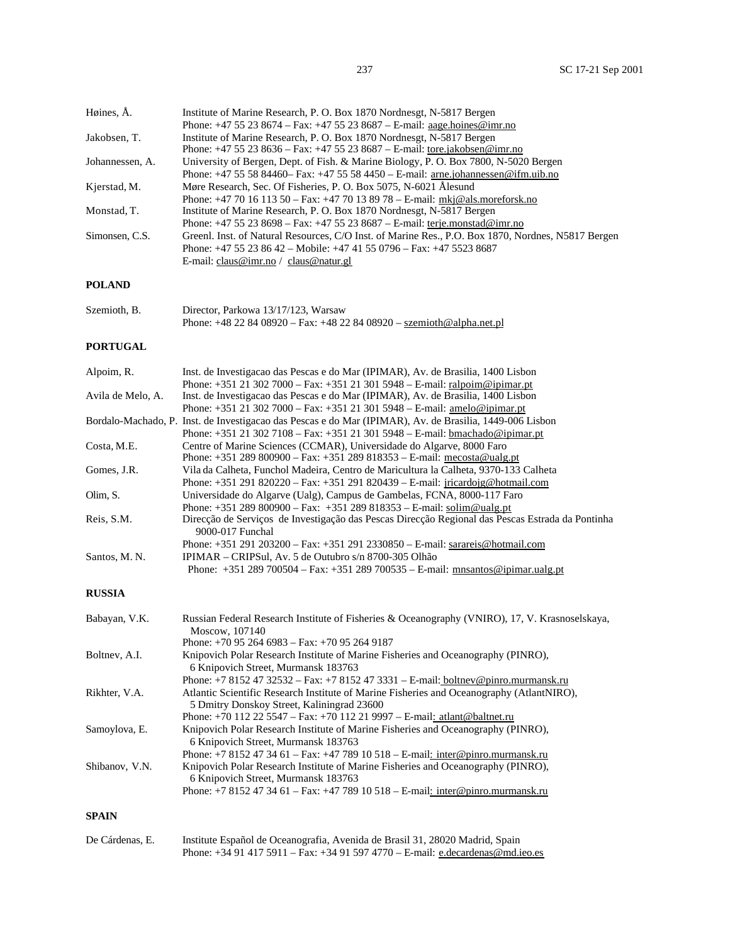Høines, Å. Institute of Marine Research, P. O. Box 1870 Nordnesgt, N-5817 Bergen

| Jakobsen, T.<br>Institute of Marine Research, P. O. Box 1870 Nordnesgt, N-5817 Bergen<br>Phone: +47 55 23 8636 - Fax: +47 55 23 8687 - E-mail: tore.jakobsen@imr.no<br>University of Bergen, Dept. of Fish. & Marine Biology, P. O. Box 7800, N-5020 Bergen<br>Johannessen, A.<br>Phone: $+47555884460 - Fax: +4755584450 - E-mail:$ are ion-separation and ifm.uib.no<br>Møre Research, Sec. Of Fisheries, P. O. Box 5075, N-6021 Ålesund<br>Phone: $+47$ 70 16 113 50 – Fax: $+47$ 70 13 89 78 – E-mail: $mki@als.moreforsk.no$<br>Institute of Marine Research, P. O. Box 1870 Nordnesgt, N-5817 Bergen<br>Phone: $+47$ 55 23 8698 – Fax: $+47$ 55 23 8687 – E-mail: terje.monstad@imr.no<br>Phone: +47 55 23 86 42 - Mobile: +47 41 55 0796 - Fax: +47 5523 8687<br>E-mail: claus@imr.no / claus@natur.gl<br>Director, Parkowa 13/17/123, Warsaw<br>Phone: +48 22 84 08920 - Fax: +48 22 84 08920 - szemioth@alpha.net.pl<br>Inst. de Investigação das Pescas e do Mar (IPIMAR), Av. de Brasilia, 1400 Lisbon<br>Phone: $+351$ 21 302 7000 – Fax: $+351$ 21 301 5948 – E-mail: ralpoim@ipimar.pt<br>Inst. de Investigacao das Pescas e do Mar (IPIMAR), Av. de Brasilia, 1400 Lisbon<br>Phone: $+351$ 21 302 7000 – Fax: $+351$ 21 301 5948 – E-mail: amelo@ipimar.pt<br>Phone: $+351$ 21 302 7108 – Fax: $+351$ 21 301 5948 – E-mail: bmachado@ipimar.pt<br>Centre of Marine Sciences (CCMAR), Universidade do Algarve, 8000 Faro<br>Phone: $+351289800900 - Fax: +351289818353 - E-mail: \frac{mecosta@ualgpt}{mecosta@ualgpt}$<br>Vila da Calheta, Funchol Madeira, Centro de Maricultura la Calheta, 9370-133 Calheta<br>Phone: +351 291 820220 - Fax: +351 291 820439 - E-mail: jricardojg@hotmail.com<br>Universidade do Algarve (Ualg), Campus de Gambelas, FCNA, 8000-117 Faro<br>Phone: +351 289 800900 - Fax: +351 289 818353 - E-mail: solim@ualg.pt<br>Direcção de Serviços de Investigação das Pescas Direcção Regional das Pescas Estrada da Pontinha<br>9000-017 Funchal<br>Phone: $+351291203200 - Fax: +3512912330850 - E-mail: sarareis@hotmail.com$<br>IPIMAR – CRIPSul, Av. 5 de Outubro s/n 8700-305 Olhão<br>Phone: $+351289700504 - Fax: +351289700535 - E-mail: mnsantos@ipimar.ualgpt$<br>Russian Federal Research Institute of Fisheries & Oceanography (VNIRO), 17, V. Krasnoselskaya,<br>Moscow, 107140<br>Phone: $+70952646983 - Fax: +70952649187$<br>Knipovich Polar Research Institute of Marine Fisheries and Oceanography (PINRO),<br>6 Knipovich Street, Murmansk 183763<br>Phone: +7 8152 47 32532 - Fax: +7 8152 47 3331 - E-mail: boltnev@pinro.murmansk.ru<br>Atlantic Scientific Research Institute of Marine Fisheries and Oceanography (AtlantNIRO),<br>5 Dmitry Donskoy Street, Kaliningrad 23600<br>Phone: +70 112 22 5547 - Fax: +70 112 21 9997 - E-mail: atlant@baltnet.ru<br>Knipovich Polar Research Institute of Marine Fisheries and Oceanography (PINRO),<br>6 Knipovich Street, Murmansk 183763<br>Phone: +7 8152 47 34 61 – Fax: +47 789 10 518 – E-mail: inter@pinro.murmansk.ru<br>Knipovich Polar Research Institute of Marine Fisheries and Oceanography (PINRO),<br>6 Knipovich Street, Murmansk 183763<br>Phone: +7 8152 47 34 61 – Fax: +47 789 10 518 – E-mail: inter@pinro.murmansk.ru | Phone: $+4755238674 - Fax$ : $+4755238687 - E-mail$ : aage.hoines@imr.no                           |
|-----------------------------------------------------------------------------------------------------------------------------------------------------------------------------------------------------------------------------------------------------------------------------------------------------------------------------------------------------------------------------------------------------------------------------------------------------------------------------------------------------------------------------------------------------------------------------------------------------------------------------------------------------------------------------------------------------------------------------------------------------------------------------------------------------------------------------------------------------------------------------------------------------------------------------------------------------------------------------------------------------------------------------------------------------------------------------------------------------------------------------------------------------------------------------------------------------------------------------------------------------------------------------------------------------------------------------------------------------------------------------------------------------------------------------------------------------------------------------------------------------------------------------------------------------------------------------------------------------------------------------------------------------------------------------------------------------------------------------------------------------------------------------------------------------------------------------------------------------------------------------------------------------------------------------------------------------------------------------------------------------------------------------------------------------------------------------------------------------------------------------------------------------------------------------------------------------------------------------------------------------------------------------------------------------------------------------------------------------------------------------------------------------------------------------------------------------------------------------------------------------------------------------------------------------------------------------------------------------------------------------------------------------------------------------------------------------------------------------------------------------------------------------------------------------------------------------------------------------------------------------------------------------------------------------------------------------------------------------------------------------------------------------------------------------------------------------------------------------------------------------------------------------------------------------------------------------------------------------------------------------------|----------------------------------------------------------------------------------------------------|
|                                                                                                                                                                                                                                                                                                                                                                                                                                                                                                                                                                                                                                                                                                                                                                                                                                                                                                                                                                                                                                                                                                                                                                                                                                                                                                                                                                                                                                                                                                                                                                                                                                                                                                                                                                                                                                                                                                                                                                                                                                                                                                                                                                                                                                                                                                                                                                                                                                                                                                                                                                                                                                                                                                                                                                                                                                                                                                                                                                                                                                                                                                                                                                                                                                                           |                                                                                                    |
| Kjerstad, M.<br>Monstad, T.<br>Simonsen, C.S.<br><b>POLAND</b><br>Szemioth, B.<br><b>PORTUGAL</b><br>Alpoim, R.<br>Avila de Melo, A.<br>Bordalo-Machado, P. Inst. de Investigacao das Pescas e do Mar (IPIMAR), Av. de Brasilia, 1449-006 Lisbon<br>Costa, M.E.<br>Gomes, J.R.<br>Olim, S.<br>Reis, S.M.<br>Santos, M. N.<br><b>RUSSIA</b><br>Babayan, V.K.<br>Boltnev, A.I.<br>Rikhter, V.A.<br>Samoylova, E.<br>Shibanov, V.N.<br><b>SPAIN</b>                                                                                                                                                                                                                                                                                                                                                                                                                                                                                                                                                                                                                                                                                                                                                                                                                                                                                                                                                                                                                                                                                                                                                                                                                                                                                                                                                                                                                                                                                                                                                                                                                                                                                                                                                                                                                                                                                                                                                                                                                                                                                                                                                                                                                                                                                                                                                                                                                                                                                                                                                                                                                                                                                                                                                                                                          |                                                                                                    |
|                                                                                                                                                                                                                                                                                                                                                                                                                                                                                                                                                                                                                                                                                                                                                                                                                                                                                                                                                                                                                                                                                                                                                                                                                                                                                                                                                                                                                                                                                                                                                                                                                                                                                                                                                                                                                                                                                                                                                                                                                                                                                                                                                                                                                                                                                                                                                                                                                                                                                                                                                                                                                                                                                                                                                                                                                                                                                                                                                                                                                                                                                                                                                                                                                                                           |                                                                                                    |
|                                                                                                                                                                                                                                                                                                                                                                                                                                                                                                                                                                                                                                                                                                                                                                                                                                                                                                                                                                                                                                                                                                                                                                                                                                                                                                                                                                                                                                                                                                                                                                                                                                                                                                                                                                                                                                                                                                                                                                                                                                                                                                                                                                                                                                                                                                                                                                                                                                                                                                                                                                                                                                                                                                                                                                                                                                                                                                                                                                                                                                                                                                                                                                                                                                                           |                                                                                                    |
|                                                                                                                                                                                                                                                                                                                                                                                                                                                                                                                                                                                                                                                                                                                                                                                                                                                                                                                                                                                                                                                                                                                                                                                                                                                                                                                                                                                                                                                                                                                                                                                                                                                                                                                                                                                                                                                                                                                                                                                                                                                                                                                                                                                                                                                                                                                                                                                                                                                                                                                                                                                                                                                                                                                                                                                                                                                                                                                                                                                                                                                                                                                                                                                                                                                           |                                                                                                    |
|                                                                                                                                                                                                                                                                                                                                                                                                                                                                                                                                                                                                                                                                                                                                                                                                                                                                                                                                                                                                                                                                                                                                                                                                                                                                                                                                                                                                                                                                                                                                                                                                                                                                                                                                                                                                                                                                                                                                                                                                                                                                                                                                                                                                                                                                                                                                                                                                                                                                                                                                                                                                                                                                                                                                                                                                                                                                                                                                                                                                                                                                                                                                                                                                                                                           |                                                                                                    |
|                                                                                                                                                                                                                                                                                                                                                                                                                                                                                                                                                                                                                                                                                                                                                                                                                                                                                                                                                                                                                                                                                                                                                                                                                                                                                                                                                                                                                                                                                                                                                                                                                                                                                                                                                                                                                                                                                                                                                                                                                                                                                                                                                                                                                                                                                                                                                                                                                                                                                                                                                                                                                                                                                                                                                                                                                                                                                                                                                                                                                                                                                                                                                                                                                                                           |                                                                                                    |
|                                                                                                                                                                                                                                                                                                                                                                                                                                                                                                                                                                                                                                                                                                                                                                                                                                                                                                                                                                                                                                                                                                                                                                                                                                                                                                                                                                                                                                                                                                                                                                                                                                                                                                                                                                                                                                                                                                                                                                                                                                                                                                                                                                                                                                                                                                                                                                                                                                                                                                                                                                                                                                                                                                                                                                                                                                                                                                                                                                                                                                                                                                                                                                                                                                                           | Greenl. Inst. of Natural Resources, C/O Inst. of Marine Res., P.O. Box 1870, Nordnes, N5817 Bergen |
|                                                                                                                                                                                                                                                                                                                                                                                                                                                                                                                                                                                                                                                                                                                                                                                                                                                                                                                                                                                                                                                                                                                                                                                                                                                                                                                                                                                                                                                                                                                                                                                                                                                                                                                                                                                                                                                                                                                                                                                                                                                                                                                                                                                                                                                                                                                                                                                                                                                                                                                                                                                                                                                                                                                                                                                                                                                                                                                                                                                                                                                                                                                                                                                                                                                           |                                                                                                    |
|                                                                                                                                                                                                                                                                                                                                                                                                                                                                                                                                                                                                                                                                                                                                                                                                                                                                                                                                                                                                                                                                                                                                                                                                                                                                                                                                                                                                                                                                                                                                                                                                                                                                                                                                                                                                                                                                                                                                                                                                                                                                                                                                                                                                                                                                                                                                                                                                                                                                                                                                                                                                                                                                                                                                                                                                                                                                                                                                                                                                                                                                                                                                                                                                                                                           |                                                                                                    |
|                                                                                                                                                                                                                                                                                                                                                                                                                                                                                                                                                                                                                                                                                                                                                                                                                                                                                                                                                                                                                                                                                                                                                                                                                                                                                                                                                                                                                                                                                                                                                                                                                                                                                                                                                                                                                                                                                                                                                                                                                                                                                                                                                                                                                                                                                                                                                                                                                                                                                                                                                                                                                                                                                                                                                                                                                                                                                                                                                                                                                                                                                                                                                                                                                                                           |                                                                                                    |
|                                                                                                                                                                                                                                                                                                                                                                                                                                                                                                                                                                                                                                                                                                                                                                                                                                                                                                                                                                                                                                                                                                                                                                                                                                                                                                                                                                                                                                                                                                                                                                                                                                                                                                                                                                                                                                                                                                                                                                                                                                                                                                                                                                                                                                                                                                                                                                                                                                                                                                                                                                                                                                                                                                                                                                                                                                                                                                                                                                                                                                                                                                                                                                                                                                                           |                                                                                                    |
|                                                                                                                                                                                                                                                                                                                                                                                                                                                                                                                                                                                                                                                                                                                                                                                                                                                                                                                                                                                                                                                                                                                                                                                                                                                                                                                                                                                                                                                                                                                                                                                                                                                                                                                                                                                                                                                                                                                                                                                                                                                                                                                                                                                                                                                                                                                                                                                                                                                                                                                                                                                                                                                                                                                                                                                                                                                                                                                                                                                                                                                                                                                                                                                                                                                           |                                                                                                    |
|                                                                                                                                                                                                                                                                                                                                                                                                                                                                                                                                                                                                                                                                                                                                                                                                                                                                                                                                                                                                                                                                                                                                                                                                                                                                                                                                                                                                                                                                                                                                                                                                                                                                                                                                                                                                                                                                                                                                                                                                                                                                                                                                                                                                                                                                                                                                                                                                                                                                                                                                                                                                                                                                                                                                                                                                                                                                                                                                                                                                                                                                                                                                                                                                                                                           |                                                                                                    |
|                                                                                                                                                                                                                                                                                                                                                                                                                                                                                                                                                                                                                                                                                                                                                                                                                                                                                                                                                                                                                                                                                                                                                                                                                                                                                                                                                                                                                                                                                                                                                                                                                                                                                                                                                                                                                                                                                                                                                                                                                                                                                                                                                                                                                                                                                                                                                                                                                                                                                                                                                                                                                                                                                                                                                                                                                                                                                                                                                                                                                                                                                                                                                                                                                                                           |                                                                                                    |
|                                                                                                                                                                                                                                                                                                                                                                                                                                                                                                                                                                                                                                                                                                                                                                                                                                                                                                                                                                                                                                                                                                                                                                                                                                                                                                                                                                                                                                                                                                                                                                                                                                                                                                                                                                                                                                                                                                                                                                                                                                                                                                                                                                                                                                                                                                                                                                                                                                                                                                                                                                                                                                                                                                                                                                                                                                                                                                                                                                                                                                                                                                                                                                                                                                                           |                                                                                                    |
|                                                                                                                                                                                                                                                                                                                                                                                                                                                                                                                                                                                                                                                                                                                                                                                                                                                                                                                                                                                                                                                                                                                                                                                                                                                                                                                                                                                                                                                                                                                                                                                                                                                                                                                                                                                                                                                                                                                                                                                                                                                                                                                                                                                                                                                                                                                                                                                                                                                                                                                                                                                                                                                                                                                                                                                                                                                                                                                                                                                                                                                                                                                                                                                                                                                           |                                                                                                    |
|                                                                                                                                                                                                                                                                                                                                                                                                                                                                                                                                                                                                                                                                                                                                                                                                                                                                                                                                                                                                                                                                                                                                                                                                                                                                                                                                                                                                                                                                                                                                                                                                                                                                                                                                                                                                                                                                                                                                                                                                                                                                                                                                                                                                                                                                                                                                                                                                                                                                                                                                                                                                                                                                                                                                                                                                                                                                                                                                                                                                                                                                                                                                                                                                                                                           |                                                                                                    |
|                                                                                                                                                                                                                                                                                                                                                                                                                                                                                                                                                                                                                                                                                                                                                                                                                                                                                                                                                                                                                                                                                                                                                                                                                                                                                                                                                                                                                                                                                                                                                                                                                                                                                                                                                                                                                                                                                                                                                                                                                                                                                                                                                                                                                                                                                                                                                                                                                                                                                                                                                                                                                                                                                                                                                                                                                                                                                                                                                                                                                                                                                                                                                                                                                                                           |                                                                                                    |
|                                                                                                                                                                                                                                                                                                                                                                                                                                                                                                                                                                                                                                                                                                                                                                                                                                                                                                                                                                                                                                                                                                                                                                                                                                                                                                                                                                                                                                                                                                                                                                                                                                                                                                                                                                                                                                                                                                                                                                                                                                                                                                                                                                                                                                                                                                                                                                                                                                                                                                                                                                                                                                                                                                                                                                                                                                                                                                                                                                                                                                                                                                                                                                                                                                                           |                                                                                                    |
|                                                                                                                                                                                                                                                                                                                                                                                                                                                                                                                                                                                                                                                                                                                                                                                                                                                                                                                                                                                                                                                                                                                                                                                                                                                                                                                                                                                                                                                                                                                                                                                                                                                                                                                                                                                                                                                                                                                                                                                                                                                                                                                                                                                                                                                                                                                                                                                                                                                                                                                                                                                                                                                                                                                                                                                                                                                                                                                                                                                                                                                                                                                                                                                                                                                           |                                                                                                    |
|                                                                                                                                                                                                                                                                                                                                                                                                                                                                                                                                                                                                                                                                                                                                                                                                                                                                                                                                                                                                                                                                                                                                                                                                                                                                                                                                                                                                                                                                                                                                                                                                                                                                                                                                                                                                                                                                                                                                                                                                                                                                                                                                                                                                                                                                                                                                                                                                                                                                                                                                                                                                                                                                                                                                                                                                                                                                                                                                                                                                                                                                                                                                                                                                                                                           |                                                                                                    |
|                                                                                                                                                                                                                                                                                                                                                                                                                                                                                                                                                                                                                                                                                                                                                                                                                                                                                                                                                                                                                                                                                                                                                                                                                                                                                                                                                                                                                                                                                                                                                                                                                                                                                                                                                                                                                                                                                                                                                                                                                                                                                                                                                                                                                                                                                                                                                                                                                                                                                                                                                                                                                                                                                                                                                                                                                                                                                                                                                                                                                                                                                                                                                                                                                                                           |                                                                                                    |
|                                                                                                                                                                                                                                                                                                                                                                                                                                                                                                                                                                                                                                                                                                                                                                                                                                                                                                                                                                                                                                                                                                                                                                                                                                                                                                                                                                                                                                                                                                                                                                                                                                                                                                                                                                                                                                                                                                                                                                                                                                                                                                                                                                                                                                                                                                                                                                                                                                                                                                                                                                                                                                                                                                                                                                                                                                                                                                                                                                                                                                                                                                                                                                                                                                                           |                                                                                                    |
|                                                                                                                                                                                                                                                                                                                                                                                                                                                                                                                                                                                                                                                                                                                                                                                                                                                                                                                                                                                                                                                                                                                                                                                                                                                                                                                                                                                                                                                                                                                                                                                                                                                                                                                                                                                                                                                                                                                                                                                                                                                                                                                                                                                                                                                                                                                                                                                                                                                                                                                                                                                                                                                                                                                                                                                                                                                                                                                                                                                                                                                                                                                                                                                                                                                           |                                                                                                    |
|                                                                                                                                                                                                                                                                                                                                                                                                                                                                                                                                                                                                                                                                                                                                                                                                                                                                                                                                                                                                                                                                                                                                                                                                                                                                                                                                                                                                                                                                                                                                                                                                                                                                                                                                                                                                                                                                                                                                                                                                                                                                                                                                                                                                                                                                                                                                                                                                                                                                                                                                                                                                                                                                                                                                                                                                                                                                                                                                                                                                                                                                                                                                                                                                                                                           |                                                                                                    |
|                                                                                                                                                                                                                                                                                                                                                                                                                                                                                                                                                                                                                                                                                                                                                                                                                                                                                                                                                                                                                                                                                                                                                                                                                                                                                                                                                                                                                                                                                                                                                                                                                                                                                                                                                                                                                                                                                                                                                                                                                                                                                                                                                                                                                                                                                                                                                                                                                                                                                                                                                                                                                                                                                                                                                                                                                                                                                                                                                                                                                                                                                                                                                                                                                                                           |                                                                                                    |
|                                                                                                                                                                                                                                                                                                                                                                                                                                                                                                                                                                                                                                                                                                                                                                                                                                                                                                                                                                                                                                                                                                                                                                                                                                                                                                                                                                                                                                                                                                                                                                                                                                                                                                                                                                                                                                                                                                                                                                                                                                                                                                                                                                                                                                                                                                                                                                                                                                                                                                                                                                                                                                                                                                                                                                                                                                                                                                                                                                                                                                                                                                                                                                                                                                                           |                                                                                                    |
|                                                                                                                                                                                                                                                                                                                                                                                                                                                                                                                                                                                                                                                                                                                                                                                                                                                                                                                                                                                                                                                                                                                                                                                                                                                                                                                                                                                                                                                                                                                                                                                                                                                                                                                                                                                                                                                                                                                                                                                                                                                                                                                                                                                                                                                                                                                                                                                                                                                                                                                                                                                                                                                                                                                                                                                                                                                                                                                                                                                                                                                                                                                                                                                                                                                           |                                                                                                    |
|                                                                                                                                                                                                                                                                                                                                                                                                                                                                                                                                                                                                                                                                                                                                                                                                                                                                                                                                                                                                                                                                                                                                                                                                                                                                                                                                                                                                                                                                                                                                                                                                                                                                                                                                                                                                                                                                                                                                                                                                                                                                                                                                                                                                                                                                                                                                                                                                                                                                                                                                                                                                                                                                                                                                                                                                                                                                                                                                                                                                                                                                                                                                                                                                                                                           |                                                                                                    |
|                                                                                                                                                                                                                                                                                                                                                                                                                                                                                                                                                                                                                                                                                                                                                                                                                                                                                                                                                                                                                                                                                                                                                                                                                                                                                                                                                                                                                                                                                                                                                                                                                                                                                                                                                                                                                                                                                                                                                                                                                                                                                                                                                                                                                                                                                                                                                                                                                                                                                                                                                                                                                                                                                                                                                                                                                                                                                                                                                                                                                                                                                                                                                                                                                                                           |                                                                                                    |
|                                                                                                                                                                                                                                                                                                                                                                                                                                                                                                                                                                                                                                                                                                                                                                                                                                                                                                                                                                                                                                                                                                                                                                                                                                                                                                                                                                                                                                                                                                                                                                                                                                                                                                                                                                                                                                                                                                                                                                                                                                                                                                                                                                                                                                                                                                                                                                                                                                                                                                                                                                                                                                                                                                                                                                                                                                                                                                                                                                                                                                                                                                                                                                                                                                                           |                                                                                                    |
|                                                                                                                                                                                                                                                                                                                                                                                                                                                                                                                                                                                                                                                                                                                                                                                                                                                                                                                                                                                                                                                                                                                                                                                                                                                                                                                                                                                                                                                                                                                                                                                                                                                                                                                                                                                                                                                                                                                                                                                                                                                                                                                                                                                                                                                                                                                                                                                                                                                                                                                                                                                                                                                                                                                                                                                                                                                                                                                                                                                                                                                                                                                                                                                                                                                           |                                                                                                    |
|                                                                                                                                                                                                                                                                                                                                                                                                                                                                                                                                                                                                                                                                                                                                                                                                                                                                                                                                                                                                                                                                                                                                                                                                                                                                                                                                                                                                                                                                                                                                                                                                                                                                                                                                                                                                                                                                                                                                                                                                                                                                                                                                                                                                                                                                                                                                                                                                                                                                                                                                                                                                                                                                                                                                                                                                                                                                                                                                                                                                                                                                                                                                                                                                                                                           |                                                                                                    |
|                                                                                                                                                                                                                                                                                                                                                                                                                                                                                                                                                                                                                                                                                                                                                                                                                                                                                                                                                                                                                                                                                                                                                                                                                                                                                                                                                                                                                                                                                                                                                                                                                                                                                                                                                                                                                                                                                                                                                                                                                                                                                                                                                                                                                                                                                                                                                                                                                                                                                                                                                                                                                                                                                                                                                                                                                                                                                                                                                                                                                                                                                                                                                                                                                                                           |                                                                                                    |
|                                                                                                                                                                                                                                                                                                                                                                                                                                                                                                                                                                                                                                                                                                                                                                                                                                                                                                                                                                                                                                                                                                                                                                                                                                                                                                                                                                                                                                                                                                                                                                                                                                                                                                                                                                                                                                                                                                                                                                                                                                                                                                                                                                                                                                                                                                                                                                                                                                                                                                                                                                                                                                                                                                                                                                                                                                                                                                                                                                                                                                                                                                                                                                                                                                                           |                                                                                                    |
|                                                                                                                                                                                                                                                                                                                                                                                                                                                                                                                                                                                                                                                                                                                                                                                                                                                                                                                                                                                                                                                                                                                                                                                                                                                                                                                                                                                                                                                                                                                                                                                                                                                                                                                                                                                                                                                                                                                                                                                                                                                                                                                                                                                                                                                                                                                                                                                                                                                                                                                                                                                                                                                                                                                                                                                                                                                                                                                                                                                                                                                                                                                                                                                                                                                           |                                                                                                    |
|                                                                                                                                                                                                                                                                                                                                                                                                                                                                                                                                                                                                                                                                                                                                                                                                                                                                                                                                                                                                                                                                                                                                                                                                                                                                                                                                                                                                                                                                                                                                                                                                                                                                                                                                                                                                                                                                                                                                                                                                                                                                                                                                                                                                                                                                                                                                                                                                                                                                                                                                                                                                                                                                                                                                                                                                                                                                                                                                                                                                                                                                                                                                                                                                                                                           |                                                                                                    |
|                                                                                                                                                                                                                                                                                                                                                                                                                                                                                                                                                                                                                                                                                                                                                                                                                                                                                                                                                                                                                                                                                                                                                                                                                                                                                                                                                                                                                                                                                                                                                                                                                                                                                                                                                                                                                                                                                                                                                                                                                                                                                                                                                                                                                                                                                                                                                                                                                                                                                                                                                                                                                                                                                                                                                                                                                                                                                                                                                                                                                                                                                                                                                                                                                                                           |                                                                                                    |
|                                                                                                                                                                                                                                                                                                                                                                                                                                                                                                                                                                                                                                                                                                                                                                                                                                                                                                                                                                                                                                                                                                                                                                                                                                                                                                                                                                                                                                                                                                                                                                                                                                                                                                                                                                                                                                                                                                                                                                                                                                                                                                                                                                                                                                                                                                                                                                                                                                                                                                                                                                                                                                                                                                                                                                                                                                                                                                                                                                                                                                                                                                                                                                                                                                                           |                                                                                                    |
|                                                                                                                                                                                                                                                                                                                                                                                                                                                                                                                                                                                                                                                                                                                                                                                                                                                                                                                                                                                                                                                                                                                                                                                                                                                                                                                                                                                                                                                                                                                                                                                                                                                                                                                                                                                                                                                                                                                                                                                                                                                                                                                                                                                                                                                                                                                                                                                                                                                                                                                                                                                                                                                                                                                                                                                                                                                                                                                                                                                                                                                                                                                                                                                                                                                           |                                                                                                    |
|                                                                                                                                                                                                                                                                                                                                                                                                                                                                                                                                                                                                                                                                                                                                                                                                                                                                                                                                                                                                                                                                                                                                                                                                                                                                                                                                                                                                                                                                                                                                                                                                                                                                                                                                                                                                                                                                                                                                                                                                                                                                                                                                                                                                                                                                                                                                                                                                                                                                                                                                                                                                                                                                                                                                                                                                                                                                                                                                                                                                                                                                                                                                                                                                                                                           |                                                                                                    |
|                                                                                                                                                                                                                                                                                                                                                                                                                                                                                                                                                                                                                                                                                                                                                                                                                                                                                                                                                                                                                                                                                                                                                                                                                                                                                                                                                                                                                                                                                                                                                                                                                                                                                                                                                                                                                                                                                                                                                                                                                                                                                                                                                                                                                                                                                                                                                                                                                                                                                                                                                                                                                                                                                                                                                                                                                                                                                                                                                                                                                                                                                                                                                                                                                                                           |                                                                                                    |
|                                                                                                                                                                                                                                                                                                                                                                                                                                                                                                                                                                                                                                                                                                                                                                                                                                                                                                                                                                                                                                                                                                                                                                                                                                                                                                                                                                                                                                                                                                                                                                                                                                                                                                                                                                                                                                                                                                                                                                                                                                                                                                                                                                                                                                                                                                                                                                                                                                                                                                                                                                                                                                                                                                                                                                                                                                                                                                                                                                                                                                                                                                                                                                                                                                                           |                                                                                                    |
|                                                                                                                                                                                                                                                                                                                                                                                                                                                                                                                                                                                                                                                                                                                                                                                                                                                                                                                                                                                                                                                                                                                                                                                                                                                                                                                                                                                                                                                                                                                                                                                                                                                                                                                                                                                                                                                                                                                                                                                                                                                                                                                                                                                                                                                                                                                                                                                                                                                                                                                                                                                                                                                                                                                                                                                                                                                                                                                                                                                                                                                                                                                                                                                                                                                           |                                                                                                    |
|                                                                                                                                                                                                                                                                                                                                                                                                                                                                                                                                                                                                                                                                                                                                                                                                                                                                                                                                                                                                                                                                                                                                                                                                                                                                                                                                                                                                                                                                                                                                                                                                                                                                                                                                                                                                                                                                                                                                                                                                                                                                                                                                                                                                                                                                                                                                                                                                                                                                                                                                                                                                                                                                                                                                                                                                                                                                                                                                                                                                                                                                                                                                                                                                                                                           |                                                                                                    |

| De Cárdenas, E. | Institute Español de Oceanografia, Avenida de Brasil 31, 28020 Madrid, Spain    |
|-----------------|---------------------------------------------------------------------------------|
|                 | Phone: $+34914175911 - Fax$ : $+34915974770 - E-mail$ : e.decardenas @md.ieo.es |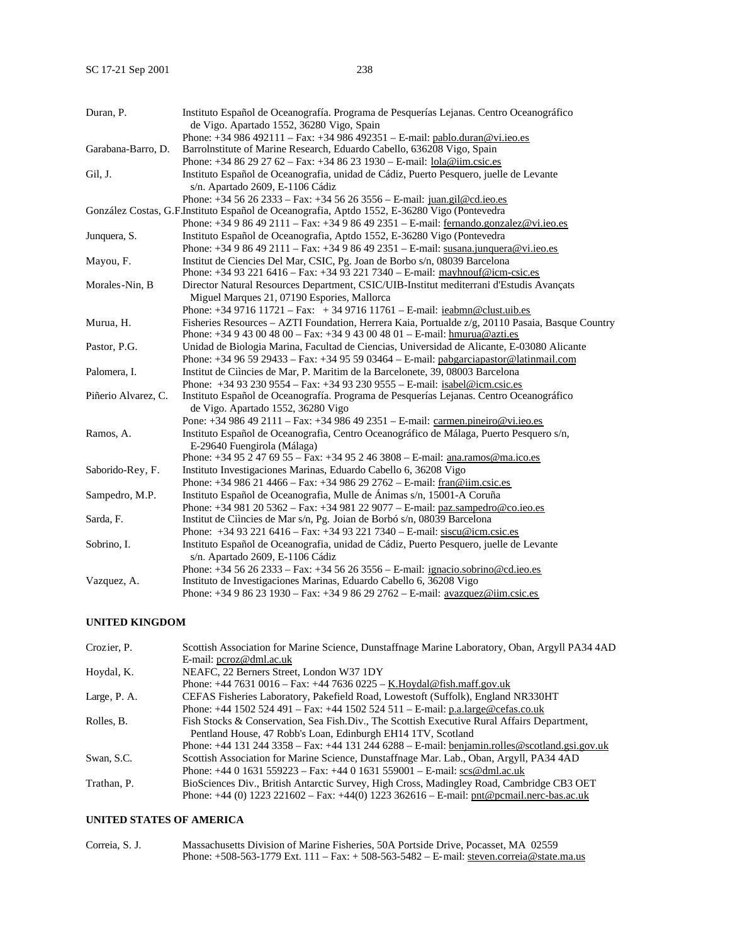| Duran, P.           | Instituto Español de Oceanografía. Programa de Pesquerías Lejanas. Centro Oceanográfico<br>de Vigo. Apartado 1552, 36280 Vigo, Spain |
|---------------------|--------------------------------------------------------------------------------------------------------------------------------------|
|                     | Phone: +34 986 492111 - Fax: +34 986 492351 - E-mail: pablo.duran@vi.ieo.es                                                          |
|                     |                                                                                                                                      |
| Garabana-Barro, D.  | Barrolnstitute of Marine Research, Eduardo Cabello, 636208 Vigo, Spain                                                               |
|                     | Phone: +34 86 29 27 62 - Fax: +34 86 23 1930 - E-mail: lola@iim.csic.es                                                              |
| Gil, J.             | Instituto Español de Oceanografia, unidad de Cádiz, Puerto Pesquero, juelle de Levante                                               |
|                     | s/n. Apartado 2609, E-1106 Cádiz                                                                                                     |
|                     | Phone: $+3456262333 - Fax$ : $+3456263556 - E-mail$ : juan.gil@cd.ieo.es                                                             |
|                     | González Costas, G.F.Instituto Español de Oceanografia, Aptdo 1552, E-36280 Vigo (Pontevedra                                         |
|                     | Phone: +34 9 86 49 2111 – Fax: +34 9 86 49 2351 – E-mail: fernando.gonzalez@vi.ieo.es                                                |
| Junquera, S.        | Instituto Español de Oceanografia, Aptdo 1552, E-36280 Vigo (Pontevedra                                                              |
|                     | Phone: +34 9 86 49 2111 – Fax: +34 9 86 49 2351 – E-mail: susana.junquera@vi.jeo.es                                                  |
| Mayou, F.           | Institut de Ciencies Del Mar, CSIC, Pg. Joan de Borbo s/n, 08039 Barcelona                                                           |
|                     | Phone: +34 93 221 6416 - Fax: +34 93 221 7340 - E-mail: mayhnouf@icm-csic.es                                                         |
| Morales-Nin, B      | Director Natural Resources Department, CSIC/UIB-Institut mediterrani d'Estudis Avançats                                              |
|                     | Miguel Marques 21, 07190 Espories, Mallorca                                                                                          |
|                     | Phone: $+34971611721 - Fax: +34971611761 - E-mail: ieabmn@clust.uib.es$                                                              |
| Murua, H.           | Fisheries Resources – AZTI Foundation, Herrera Kaia, Portualde z/g, 20110 Pasaia, Basque Country                                     |
|                     | Phone: $+34943004800 - Fax$ : $+34943004801 - E-mail$ : hmurua@azti.es                                                               |
| Pastor, P.G.        | Unidad de Biologia Marina, Facultad de Ciencias, Universidad de Alicante, E-03080 Alicante                                           |
|                     | Phone: $+34965929433 - Fax: +34955903464 - E-mail: pabgarciapastor@latinmail.com$                                                    |
| Palomera, I.        | Institut de Ciìncies de Mar, P. Maritim de la Barcelonete, 39, 08003 Barcelona                                                       |
|                     | Phone: $+34932309554 - Fax$ : $+34932309555 - E-mail$ : isabel@icm.csic.es                                                           |
| Piñerio Alvarez, C. | Instituto Español de Oceanografía. Programa de Pesquerías Lejanas. Centro Oceanográfico                                              |
|                     | de Vigo. Apartado 1552, 36280 Vigo                                                                                                   |
|                     | Pone: +34 986 49 2111 – Fax: +34 986 49 2351 – E-mail: carmen.pineiro@vi.ieo.es                                                      |
| Ramos, A.           | Instituto Español de Oceanografia, Centro Oceanográfico de Málaga, Puerto Pesquero s/n,                                              |
|                     | E-29640 Fuengirola (Málaga)                                                                                                          |
|                     | Phone: $+34952476955 - Fax: +34952463808 - E-mail: ana.ramos@ma.ico.es$                                                              |
| Saborido-Rey, F.    | Instituto Investigaciones Marinas, Eduardo Cabello 6, 36208 Vigo                                                                     |
|                     | Phone: +34 986 21 4466 - Fax: +34 986 29 2762 - E-mail: $frac@$ im.csic.es                                                           |
| Sampedro, M.P.      | Instituto Español de Oceanografia, Mulle de Ánimas s/n, 15001-A Coruña                                                               |
|                     | Phone: $+34981205362 - Fax$ : $+34981229077 - E-mail$ : paz.sampedro@co.ieo.es                                                       |
| Sarda, F.           | Institut de Ciìncies de Mar s/n, Pg. Joian de Borbó s/n, 08039 Barcelona                                                             |
|                     | Phone: $+34932216416 - Fax$ : $+34932217340 - E-mail$ : siscu@icm.csic.es                                                            |
| Sobrino, I.         | Instituto Español de Oceanografia, unidad de Cádiz, Puerto Pesquero, juelle de Levante                                               |
|                     | s/n. Apartado 2609, E-1106 Cádiz                                                                                                     |
|                     | Phone: $+34\,56\,26\,2333 - Fax$ : $+34\,56\,26\,3556 - E$ -mail: ignacio.sobrino@cd.ieo.es                                          |
| Vazquez, A.         | Instituto de Investigaciones Marinas, Eduardo Cabello 6, 36208 Vigo                                                                  |
|                     | Phone: +34 9 86 23 1930 - Fax: +34 9 86 29 2762 - E-mail: avazquez@iim.csic.es                                                       |
|                     |                                                                                                                                      |

## **UNITED KINGDOM**

| Crozier, P.  | Scottish Association for Marine Science, Dunstaffnage Marine Laboratory, Oban, Argyll PA34 4AD    |
|--------------|---------------------------------------------------------------------------------------------------|
|              | E-mail: pcroz@dml.ac.uk                                                                           |
| Hoydal, K.   | NEAFC, 22 Berners Street, London W37 1DY                                                          |
|              | Phone: $+44\,7631\,0016 - Fax$ : $+44\,7636\,0225 - K.Hoydal@fish.maff.gov.uk$                    |
| Large, P. A. | CEFAS Fisheries Laboratory, Pakefield Road, Lowestoft (Suffolk), England NR330HT                  |
|              | Phone: $+44$ 1502 524 491 – Fax: $+44$ 1502 524 511 – E-mail: p.a.large@cefas.co.uk               |
| Rolles, B.   | Fish Stocks & Conservation, Sea Fish.Div., The Scottish Executive Rural Affairs Department,       |
|              | Pentland House, 47 Robb's Loan, Edinburgh EH14 1TV, Scotland                                      |
|              | Phone: $+44$ 131 244 3358 – Fax: $+44$ 131 244 6288 – E-mail: benjamin.rolles@scotland.gsi.gov.uk |
| Swan, S.C.   | Scottish Association for Marine Science, Dunstaffnage Mar. Lab., Oban, Argyll, PA34 4AD           |
|              | Phone: $+4401631559223 - Fax$ : $+4401631559001 - E-mail$ : scs@dml.ac.uk                         |
| Trathan, P.  | BioSciences Div., British Antarctic Survey, High Cross, Madingley Road, Cambridge CB3 OET         |
|              | Phone: $+44$ (0) 1223 221602 – Fax: $+44$ (0) 1223 362616 – E-mail: pnt@pcmail.nerc-bas.ac.uk     |

## **UNITED STATES OF AMERICA**

| Correia, S. J. | Massachusetts Division of Marine Fisheries, 50A Portside Drive, Pocasset, MA 02559       |
|----------------|------------------------------------------------------------------------------------------|
|                | Phone: +508-563-1779 Ext. 111 – Fax: + 508-563-5482 – E-mail: steven.correia@state.ma.us |